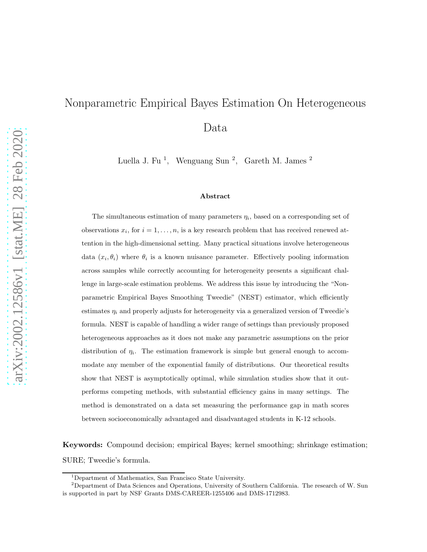# Nonparametric Empirical Bayes Estimation On Heterogeneous Data

Luella J. Fu<sup>1</sup>, Wenguang Sun<sup>2</sup>, Gareth M. James<sup>2</sup>

#### Abstract

The simultaneous estimation of many parameters  $\eta_i$ , based on a corresponding set of observations  $x_i$ , for  $i = 1, \ldots, n$ , is a key research problem that has received renewed attention in the high-dimensional setting. Many practical situations involve heterogeneous data  $(x_i, \theta_i)$  where  $\theta_i$  is a known nuisance parameter. Effectively pooling information across samples while correctly accounting for heterogeneity presents a significant challenge in large-scale estimation problems. We address this issue by introducing the "Nonparametric Empirical Bayes Smoothing Tweedie" (NEST) estimator, which efficiently estimates  $\eta_i$  and properly adjusts for heterogeneity via a generalized version of Tweedie's formula. NEST is capable of handling a wider range of settings than previously proposed heterogeneous approaches as it does not make any parametric assumptions on the prior distribution of  $\eta_i$ . The estimation framework is simple but general enough to accommodate any member of the exponential family of distributions. Our theoretical results show that NEST is asymptotically optimal, while simulation studies show that it outperforms competing methods, with substantial efficiency gains in many settings. The method is demonstrated on a data set measuring the performance gap in math scores between socioeconomically advantaged and disadvantaged students in K-12 schools.

Keywords: Compound decision; empirical Bayes; kernel smoothing; shrinkage estimation; SURE; Tweedie's formula.

<sup>1</sup>Department of Mathematics, San Francisco State University.

 $2$ Department of Data Sciences and Operations, University of Southern California. The research of W. Sun is supported in part by NSF Grants DMS-CAREER-1255406 and DMS-1712983.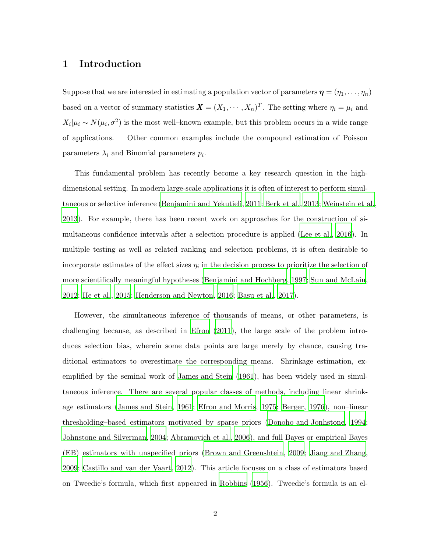### <span id="page-1-0"></span>1 Introduction

Suppose that we are interested in estimating a population vector of parameters  $\boldsymbol{\eta} = (\eta_1, \dots, \eta_n)$ based on a vector of summary statistics  $\mathbf{X} = (X_1, \dots, X_n)^T$ . The setting where  $\eta_i = \mu_i$  and  $X_i | \mu_i \sim N(\mu_i, \sigma^2)$  is the most well-known example, but this problem occurs in a wide range of applications. Other common examples include the compound estimation of Poisson parameters  $\lambda_i$  and Binomial parameters  $p_i$ .

This fundamental problem has recently become a key research question in the highdimensional setting. In modern large-scale applications it is often of interest to perform simultaneous or selective inference [\(Benjamini and Yekutieli](#page-28-0), [2011](#page-28-0); [Berk et al.](#page-28-1), [2013](#page-28-1); [Weinstein et al.](#page-31-0), [2013](#page-31-0)). For example, there has been recent work on approaches for the construction of simultaneous confidence intervals after a selection procedure is applied [\(Lee et al.](#page-30-0), [2016](#page-30-0)). In multiple testing as well as related ranking and selection problems, it is often desirable to incorporate estimates of the effect sizes  $\eta_i$  in the decision process to prioritize the selection of more scientifically meaningful hypotheses [\(Benjamini and Hochberg](#page-28-2), [1997](#page-28-2); [Sun and McLain,](#page-31-1) [2012](#page-31-1); [He et al.](#page-29-0), [2015](#page-29-0); [Henderson and Newton, 2016](#page-29-1); [Basu et al.](#page-27-0), [2017\)](#page-27-0).

However, the simultaneous inference of thousands of means, or other parameters, is challenging because, as described in [Efron \(2011\)](#page-29-2), the large scale of the problem introduces selection bias, wherein some data points are large merely by chance, causing traditional estimators to overestimate the corresponding means. Shrinkage estimation, exemplified by the seminal work of [James and Stein \(1961](#page-29-3)), has been widely used in simultaneous inference. There are several popular classes of methods, including linear shrinkage estimators [\(James and Stein, 1961](#page-29-3); [Efron and Morris](#page-29-4), [1975](#page-29-4); [Berger, 1976](#page-28-3)), non–linear thresholding–based estimators motivated by sparse priors [\(Donoho and Jonhstone](#page-29-5), [1994](#page-29-5); [Johnstone and Silverman, 2004](#page-30-1); [Abramovich et al.](#page-27-1), [2006](#page-27-1)), and full Bayes or empirical Bayes (EB) estimators with unspecified priors [\(Brown and Greenshtein](#page-28-4), [2009](#page-28-4); [Jiang and Zhang,](#page-30-2) [2009](#page-30-2); [Castillo and van der Vaart, 2012](#page-28-5)). This article focuses on a class of estimators based on Tweedie's formula, which first appeared in [Robbins \(1956](#page-30-3)). Tweedie's formula is an el-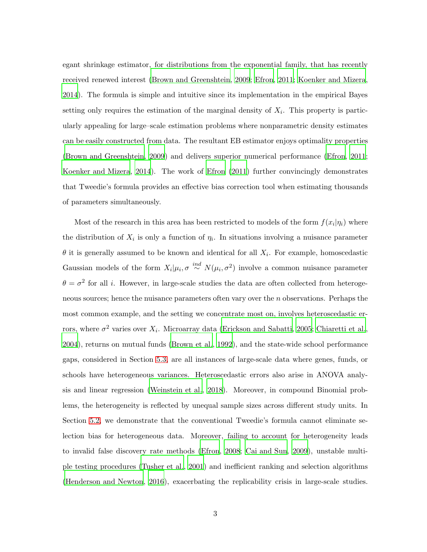egant shrinkage estimator, for distributions from the exponential family, that has recently received renewed interest [\(Brown and Greenshtein](#page-28-4), [2009;](#page-28-4) [Efron](#page-29-2), [2011;](#page-29-2) [Koenker and Mizera](#page-30-4), [2014](#page-30-4)). The formula is simple and intuitive since its implementation in the empirical Bayes setting only requires the estimation of the marginal density of  $X_i$ . This property is particularly appealing for large–scale estimation problems where nonparametric density estimates can be easily constructed from data. The resultant EB estimator enjoys optimality properties [\(Brown and Greenshtein, 2009](#page-28-4)) and delivers superior numerical performance [\(Efron](#page-29-2), [2011](#page-29-2); [Koenker and Mizera, 2014](#page-30-4)). The work of [Efron \(2011\)](#page-29-2) further convincingly demonstrates that Tweedie's formula provides an effective bias correction tool when estimating thousands of parameters simultaneously.

Most of the research in this area has been restricted to models of the form  $f(x_i|\eta_i)$  where the distribution of  $X_i$  is only a function of  $\eta_i$ . In situations involving a nuisance parameter  $\theta$  it is generally assumed to be known and identical for all  $X_i$ . For example, homoscedastic Gaussian models of the form  $X_i | \mu_i, \sigma \stackrel{ind}{\sim} N(\mu_i, \sigma^2)$  involve a common nuisance parameter  $\theta = \sigma^2$  for all *i*. However, in large-scale studies the data are often collected from heterogeneous sources; hence the nuisance parameters often vary over the n observations. Perhaps the most common example, and the setting we concentrate most on, involves heteroscedastic errors, where  $\sigma^2$  varies over  $X_i$ . Microarray data [\(Erickson and Sabatti](#page-29-6), [2005](#page-29-6); [Chiaretti et](#page-29-7) al., [2004](#page-29-7)), returns on mutual funds [\(Brown et al., 1992](#page-28-6)), and the state-wide school performance gaps, considered in Section [5.3,](#page-24-0) are all instances of large-scale data where genes, funds, or schools have heterogeneous variances. Heteroscedastic errors also arise in ANOVA analysis and linear regression [\(Weinstein et al.](#page-31-2), [2018](#page-31-2)). Moreover, in compound Binomial problems, the heterogeneity is reflected by unequal sample sizes across different study units. In Section [5.2,](#page-22-0) we demonstrate that the conventional Tweedie's formula cannot eliminate selection bias for heterogeneous data. Moreover, failing to account for heterogeneity leads to invalid false discovery rate methods [\(Efron, 2008](#page-29-8); [Cai and Sun, 2009](#page-28-7)), unstable multiple testing procedures [\(Tusher et al.](#page-31-3), [2001](#page-31-3)) and inefficient ranking and selection algorithms [\(Henderson and Newton, 2016](#page-29-1)), exacerbating the replicability crisis in large-scale studies.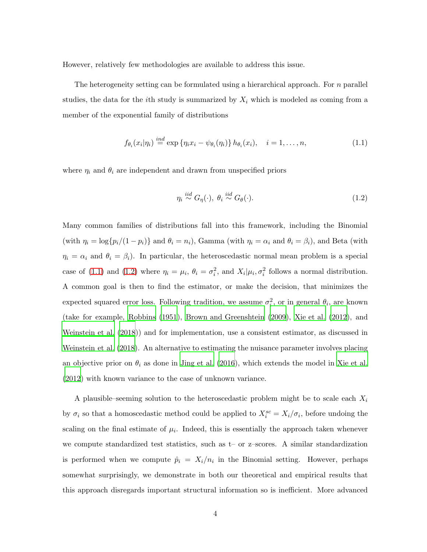However, relatively few methodologies are available to address this issue.

The heterogeneity setting can be formulated using a hierarchical approach. For n parallel studies, the data for the *i*th study is summarized by  $X_i$  which is modeled as coming from a member of the exponential family of distributions

<span id="page-3-0"></span>
$$
f_{\theta_i}(x_i|\eta_i) \stackrel{ind}{=} \exp \{ \eta_i x_i - \psi_{\theta_i}(\eta_i) \} h_{\theta_i}(x_i), \quad i = 1, \dots, n,
$$
\n(1.1)

where  $\eta_i$  and  $\theta_i$  are independent and drawn from unspecified priors

<span id="page-3-1"></span>
$$
\eta_i \stackrel{iid}{\sim} G_\eta(\cdot), \ \theta_i \stackrel{iid}{\sim} G_\theta(\cdot). \tag{1.2}
$$

Many common families of distributions fall into this framework, including the Binomial (with  $\eta_i = \log\{p_i/(1 - p_i)\}\$  and  $\theta_i = n_i$ ), Gamma (with  $\eta_i = \alpha_i$  and  $\theta_i = \beta_i$ ), and Beta (with  $\eta_i = \alpha_i$  and  $\theta_i = \beta_i$ ). In particular, the heteroscedastic normal mean problem is a special case of [\(1.1\)](#page-3-0) and [\(1.2\)](#page-3-1) where  $\eta_i = \mu_i$ ,  $\theta_i = \sigma_i^2$ , and  $X_i | \mu_i, \sigma_i^2$  follows a normal distribution. A common goal is then to find the estimator, or make the decision, that minimizes the expected squared error loss. Following tradition, we assume  $\sigma_i^2$ , or in general  $\theta_i$ , are known (take for example, [Robbins \(1951](#page-30-5)), [Brown and Greenshtein \(2009](#page-28-4)), [Xie et al. \(2012](#page-31-4)), and [Weinstein et al. \(2018](#page-31-2))) and for implementation, use a consistent estimator, as discussed in [Weinstein et al. \(2018](#page-31-2)). An alternative to estimating the nuisance parameter involves placing an objective prior on  $\theta_i$  as done in [Jing et al. \(2016\)](#page-30-6), which extends the model in [Xie et](#page-31-4) al. [\(2012\)](#page-31-4) with known variance to the case of unknown variance.

A plausible–seeming solution to the heteroscedastic problem might be to scale each  $X_i$ by  $\sigma_i$  so that a homoscedastic method could be applied to  $X_i^{sc} = X_i/\sigma_i$ , before undoing the scaling on the final estimate of  $\mu_i$ . Indeed, this is essentially the approach taken whenever we compute standardized test statistics, such as t– or z–scores. A similar standardization is performed when we compute  $\hat{p}_i = X_i/n_i$  in the Binomial setting. However, perhaps somewhat surprisingly, we demonstrate in both our theoretical and empirical results that this approach disregards important structural information so is inefficient. More advanced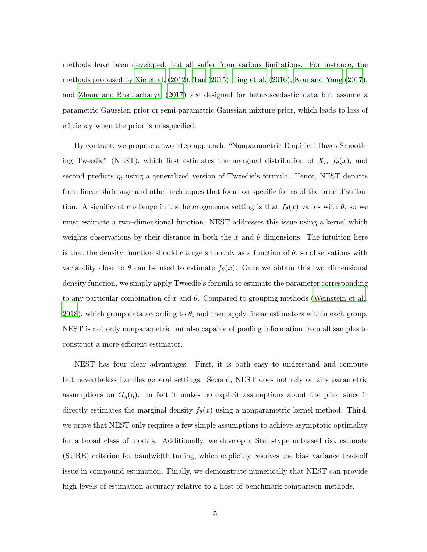methods have been developed, but all suffer from various limitations. For instance, the methods proposed by [Xie et al. \(2012](#page-31-4)), [Tan \(2015](#page-31-5)), [Jing et al.](#page-30-6) [\(2016\)](#page-30-6), [Kou and Yang \(2017](#page-30-7)), and [Zhang and Bhattacharya \(2017](#page-32-0)) are designed for heteroscedastic data but assume a parametric Gaussian prior or semi-parametric Gaussian mixture prior, which leads to loss of efficiency when the prior is misspecified.

By contrast, we propose a two–step approach, "Nonparametric Empirical Bayes Smoothing Tweedie" (NEST), which first estimates the marginal distribution of  $X_i$ ,  $f_\theta(x)$ , and second predicts  $\eta_i$  using a generalized version of Tweedie's formula. Hence, NEST departs from linear shrinkage and other techniques that focus on specific forms of the prior distribution. A significant challenge in the heterogeneous setting is that  $f_{\theta}(x)$  varies with  $\theta$ , so we must estimate a two–dimensional function. NEST addresses this issue using a kernel which weights observations by their distance in both the x and  $\theta$  dimensions. The intuition here is that the density function should change smoothly as a function of  $\theta$ , so observations with variability close to  $\theta$  can be used to estimate  $f_{\theta}(x)$ . Once we obtain this two–dimensional density function, we simply apply Tweedie's formula to estimate the parameter corresponding to any particular combination of x and  $\theta$ . Compared to grouping methods [\(Weinstein et al.,](#page-31-2) [2018](#page-31-2)), which group data according to  $\theta_i$  and then apply linear estimators within each group, NEST is not only nonparametric but also capable of pooling information from all samples to construct a more efficient estimator.

NEST has four clear advantages. First, it is both easy to understand and compute but nevertheless handles general settings. Second, NEST does not rely on any parametric assumptions on  $G_{\eta}(\eta)$ . In fact it makes no explicit assumptions about the prior since it directly estimates the marginal density  $f_{\theta}(x)$  using a nonparametric kernel method. Third, we prove that NEST only requires a few simple assumptions to achieve asymptotic optimality for a broad class of models. Additionally, we develop a Stein-type unbiased risk estimate (SURE) criterion for bandwidth tuning, which explicitly resolves the bias–variance tradeoff issue in compound estimation. Finally, we demonstrate numerically that NEST can provide high levels of estimation accuracy relative to a host of benchmark comparison methods.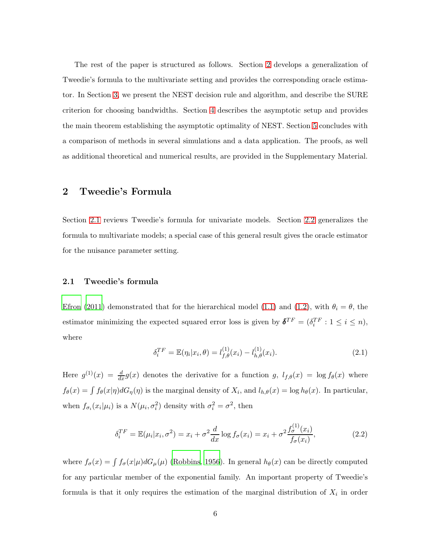The rest of the paper is structured as follows. Section [2](#page-5-0) develops a generalization of Tweedie's formula to the multivariate setting and provides the corresponding oracle estimator. In Section [3,](#page-8-0) we present the NEST decision rule and algorithm, and describe the SURE criterion for choosing bandwidths. Section [4](#page-12-0) describes the asymptotic setup and provides the main theorem establishing the asymptotic optimality of NEST. Section [5](#page-17-0) concludes with a comparison of methods in several simulations and a data application. The proofs, as well as additional theoretical and numerical results, are provided in the Supplementary Material.

### <span id="page-5-0"></span>2 Tweedie's Formula

Section [2.1](#page-5-1) reviews Tweedie's formula for univariate models. Section [2.2](#page-6-0) generalizes the formula to multivariate models; a special case of this general result gives the oracle estimator for the nuisance parameter setting.

#### <span id="page-5-1"></span>2.1 Tweedie's formula

[Efron \(2011](#page-29-2)) demonstrated that for the hierarchical model [\(1.1\)](#page-3-0) and [\(1.2\)](#page-3-1), with  $\theta_i = \theta$ , the estimator minimizing the expected squared error loss is given by  $\boldsymbol{\delta}^{TF} = (\delta_i^{TF} : 1 \leq i \leq n)$ , where

$$
\delta_i^{TF} = \mathbb{E}(\eta_i | x_i, \theta) = l_{f, \theta}^{(1)}(x_i) - l_{h, \theta}^{(1)}(x_i). \tag{2.1}
$$

Here  $g^{(1)}(x) = \frac{d}{dx}g(x)$  denotes the derivative for a function g,  $l_{f,\theta}(x) = \log f_{\theta}(x)$  where  $f_{\theta}(x) = \int f_{\theta}(x|\eta) dG_{\eta}(\eta)$  is the marginal density of  $X_i$ , and  $l_{h,\theta}(x) = \log h_{\theta}(x)$ . In particular, when  $f_{\sigma_i}(x_i|\mu_i)$  is a  $N(\mu_i, \sigma_i^2)$  density with  $\sigma_i^2 = \sigma^2$ , then

<span id="page-5-2"></span>
$$
\delta_i^{TF} = \mathbb{E}(\mu_i | x_i, \sigma^2) = x_i + \sigma^2 \frac{d}{dx} \log f_{\sigma}(x_i) = x_i + \sigma^2 \frac{f_{\sigma}^{(1)}(x_i)}{f_{\sigma}(x_i)},
$$
\n(2.2)

where  $f_{\sigma}(x) = \int f_{\sigma}(x|\mu) dG_{\mu}(\mu)$  [\(Robbins](#page-30-3), [1956](#page-30-3)). In general  $h_{\theta}(x)$  can be directly computed for any particular member of the exponential family. An important property of Tweedie's formula is that it only requires the estimation of the marginal distribution of  $X_i$  in order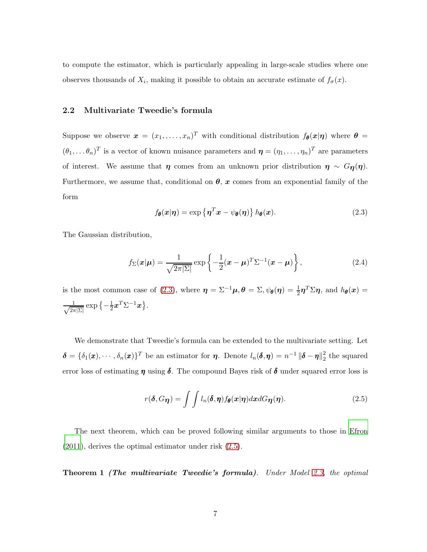<span id="page-6-0"></span>to compute the estimator, which is particularly appealing in large-scale studies where one observes thousands of  $X_i$ , making it possible to obtain an accurate estimate of  $f_{\sigma}(x)$ .

#### 2.2 Multivariate Tweedie's formula

Suppose we observe  $\boldsymbol{x} = (x_1, \ldots, x_n)^T$  with conditional distribution  $f_{\boldsymbol{\theta}}(\boldsymbol{x}|\boldsymbol{\eta})$  where  $\boldsymbol{\theta} =$  $(\theta_1,\ldots,\theta_n)^T$  is a vector of known nuisance parameters and  $\boldsymbol{\eta}=(\eta_1,\ldots,\eta_n)^T$  are parameters of interest. We assume that  $\eta$  comes from an unknown prior distribution  $\eta \sim G_{\eta}(\eta)$ . Furthermore, we assume that, conditional on  $\theta$ , x comes from an exponential family of the form

<span id="page-6-1"></span>
$$
f_{\theta}(\boldsymbol{x}|\boldsymbol{\eta}) = \exp\left\{\boldsymbol{\eta}^T\boldsymbol{x} - \psi_{\theta}(\boldsymbol{\eta})\right\} h_{\theta}(\boldsymbol{x}). \tag{2.3}
$$

The Gaussian distribution,

<span id="page-6-3"></span>
$$
f_{\Sigma}(\boldsymbol{x}|\boldsymbol{\mu}) = \frac{1}{\sqrt{2\pi|\Sigma|}} \exp\left\{-\frac{1}{2}(\boldsymbol{x} - \boldsymbol{\mu})^T \Sigma^{-1}(\boldsymbol{x} - \boldsymbol{\mu})\right\},\tag{2.4}
$$

is the most common case of [\(2.3\)](#page-6-1), where  $\eta = \Sigma^{-1}\mu$ ,  $\theta = \Sigma$ ,  $\psi_{\theta}(\eta) = \frac{1}{2}\eta^{T}\Sigma\eta$ , and  $h_{\theta}(x) =$  $\frac{1}{\sqrt{2\pi}}$  $\frac{1}{2\pi|\Sigma|} \exp \left\{-\frac{1}{2}\right\}$  $\frac{1}{2} \boldsymbol{x}^T \Sigma^{-1} \boldsymbol{x} \big\}$  .

We demonstrate that Tweedie's formula can be extended to the multivariate setting. Let  $\boldsymbol{\delta} = \{\delta_1(\boldsymbol{x}), \cdots, \delta_n(\boldsymbol{x})\}^T$  be an estimator for  $\boldsymbol{\eta}$ . Denote  $l_n(\boldsymbol{\delta}, \boldsymbol{\eta}) = n^{-1} ||\boldsymbol{\delta} - \boldsymbol{\eta}||_2^2$  $\frac{2}{2}$  the squared error loss of estimating  $\eta$  using  $\delta$ . The compound Bayes risk of  $\delta$  under squared error loss is

<span id="page-6-4"></span><span id="page-6-2"></span>
$$
r(\boldsymbol{\delta}, G_{\boldsymbol{\eta}}) = \int \int l_n(\boldsymbol{\delta}, \boldsymbol{\eta}) f_{\boldsymbol{\theta}}(\boldsymbol{x}|\boldsymbol{\eta}) d\boldsymbol{x} dG_{\boldsymbol{\eta}}(\boldsymbol{\eta}). \tag{2.5}
$$

The next theorem, which can be proved following similar arguments to those in [Efron](#page-29-2) [\(2011\)](#page-29-2), derives the optimal estimator under risk [\(2.5\)](#page-6-2).

Theorem 1 (The multivariate Tweedie's formula)*. Under Model [2.3,](#page-6-1) the optimal*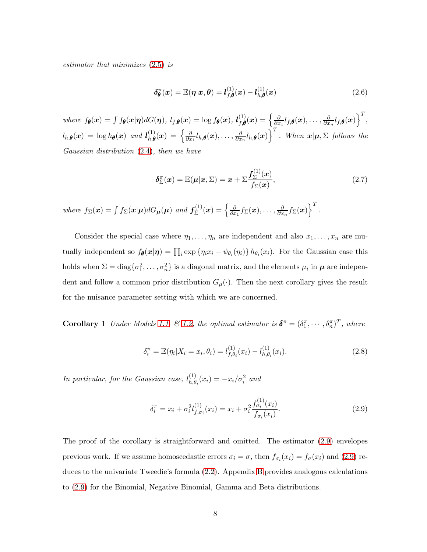*estimator that minimizes* [\(2.5\)](#page-6-2) *is*

<span id="page-7-3"></span>
$$
\delta_{\theta}^{\pi}(x) = \mathbb{E}(\eta|x,\theta) = l_{f,\theta}^{(1)}(x) - l_{h,\theta}^{(1)}(x)
$$
\n(2.6)

*where*  $f_{\theta}(x) = \int f_{\theta}(x|\eta) dG(\eta)$ ,  $l_{f,\theta}(x) = \log f_{\theta}(x)$ ,  $l_{f,\theta}^{(1)}(x) = \left\{\frac{\partial f_{\theta}(x)}{\partial x} + \frac{\partial f_{\theta}(x)}{\partial y}\right\}$  $\frac{\partial}{\partial x_1} l_{f,\bm{\theta}}(\bm{x}), \ldots, \frac{\partial}{\partial x}$  $\frac{\partial}{\partial x_n} l_{f,\boldsymbol{\theta}}(\boldsymbol{x})\Big\}^T,$  $l_{h,\boldsymbol{\theta}}(\boldsymbol{x})\,=\,\log h_{\boldsymbol{\theta}}(\boldsymbol{x})\,\,\,and\,\, \boldsymbol{l}_{h,\boldsymbol{\theta}}^{(1)}(\boldsymbol{x})\,=\,\Big\{\frac{\partial}{\partial x}\,$  $\frac{\partial}{\partial x_1} l_{h,\boldsymbol{\theta}}(\boldsymbol{x}), \ldots, \frac{\partial}{\partial x}$  $\left(\frac{\partial}{\partial x_n} l_{h,\boldsymbol{\theta}}(\boldsymbol{x})\right)^T$ . When  $\boldsymbol{x}|\boldsymbol{\mu},\Sigma$  follows the *Gaussian distribution* [\(2.4\)](#page-6-3)*, then we have*

<span id="page-7-2"></span>
$$
\delta_{\Sigma}^{\pi}(\boldsymbol{x}) = \mathbb{E}(\boldsymbol{\mu}|\boldsymbol{x},\Sigma) = \boldsymbol{x} + \Sigma \frac{f_{\Sigma}^{(1)}(\boldsymbol{x})}{f_{\Sigma}(\boldsymbol{x})},\tag{2.7}
$$

*where*  $f_{\Sigma}(\boldsymbol{x}) = \int f_{\Sigma}(\boldsymbol{x}|\boldsymbol{\mu}) dG_{\boldsymbol{\mu}}(\boldsymbol{\mu})$  *and*  $f_{\Sigma}^{(1)}$  $\chi^{(1)}_\Sigma(\bm{x})=\Big\{\frac{\partial}{\partial x}$  $\frac{\partial}{\partial x_1} f_{\Sigma}(\bm{x}), \ldots, \frac{\partial}{\partial x}$  $\frac{\partial}{\partial x_n} f_\Sigma(\bm{x})\Big\}^T$  .

Consider the special case where  $\eta_1, \ldots, \eta_n$  are independent and also  $x_1, \ldots, x_n$  are mutually independent so  $f_{\theta}(x|\eta) = \prod_i \exp \{\eta_i x_i - \psi_{\theta_i}(\eta_i)\} h_{\theta_i}(x_i)$ . For the Gaussian case this holds when  $\Sigma = \text{diag}\{\sigma_1^2, \dots, \sigma_n^2\}$  is a diagonal matrix, and the elements  $\mu_i$  in  $\mu$  are independent and follow a common prior distribution  $G_{\mu}(\cdot)$ . Then the next corollary gives the result for the nuisance parameter setting with which we are concerned.

**Corollary 1** *Under Models [1.1,](#page-3-0)*  $\& 1.2$ *, the optimal estimator is*  $\boldsymbol{\delta}^{\pi} = (\delta_1^{\pi}, \cdots, \delta_n^{\pi})^T$ *, where* 

<span id="page-7-4"></span><span id="page-7-1"></span>
$$
\delta_i^{\pi} = \mathbb{E}(\eta_i | X_i = x_i, \theta_i) = l_{f, \theta_i}^{(1)}(x_i) - l_{h, \theta_i}^{(1)}(x_i).
$$
\n(2.8)

In particular, for the Gaussian case,  $l_{h,\theta}^{(1)}$  $_{h,\theta_i}^{(1)}(x_i) = -x_i/\sigma_i^2$  and

<span id="page-7-0"></span>
$$
\delta_i^{\pi} = x_i + \sigma_i^2 l_{f, \sigma_i}^{(1)}(x_i) = x_i + \sigma_i^2 \frac{f_{\sigma_i}^{(1)}(x_i)}{f_{\sigma_i}(x_i)}.
$$
\n(2.9)

The proof of the corollary is straightforward and omitted. The estimator [\(2.9\)](#page-7-0) envelopes previous work. If we assume homoscedastic errors  $\sigma_i = \sigma$ , then  $f_{\sigma_i}(x_i) = f_{\sigma}(x_i)$  and [\(2.9\)](#page-7-0) reduces to the univariate Tweedie's formula [\(2.2\)](#page-5-2). Appendix [B](#page-43-0) provides analogous calculations to [\(2.9\)](#page-7-0) for the Binomial, Negative Binomial, Gamma and Beta distributions.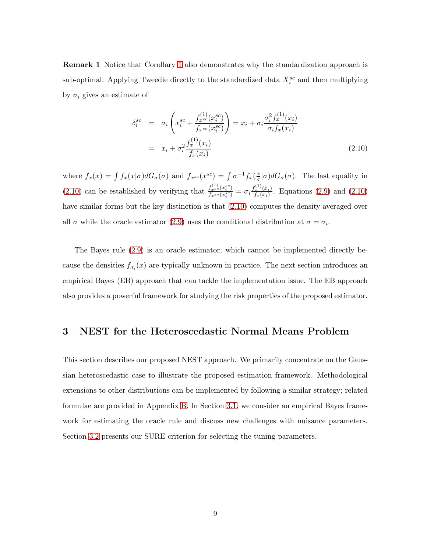**Remark [1](#page-7-1)** Notice that Corollary 1 also demonstrates why the standardization approach is sub-optimal. Applying Tweedie directly to the standardized data  $X_i^{sc}$  and then multiplying by  $\sigma_i$  gives an estimate of

<span id="page-8-1"></span>
$$
\delta_i^{sc} = \sigma_i \left( x_i^{sc} + \frac{f_{x^{sc}}^{(1)}(x_i^{sc})}{f_{x^{sc}}(x_i^{sc})} \right) = x_i + \sigma_i \frac{\sigma_i^2 f_x^{(1)}(x_i)}{\sigma_i f_x(x_i)}
$$
\n
$$
= x_i + \sigma_i^2 \frac{f_x^{(1)}(x_i)}{f_x(x_i)} \tag{2.10}
$$

where  $f_x(x) = \int f_x(x|\sigma) dG_{\sigma}(\sigma)$  and  $f_{x^{sc}}(x^{sc}) = \int \sigma^{-1} f_x(\frac{x}{\sigma})$  $\frac{x}{\sigma}|\sigma)dG_{\sigma}(\sigma)$ . The last equality in  $(2.10)$  can be established by verifying that  $\frac{f_{\text{gsc}}^{(1)}(x_i^{\text{sc}})}{f_{\text{sc}}^{(r\text{sc}}(x_i^{\text{sc}}))}$  $\frac{f^{(1)}_{xsc}(x^{sc}_i)}{f_{x^{sc}}(x^{sc}_i)} = \sigma_i \frac{f^{(1)}_x(x_i)}{f_x(x_i)}$  $\frac{x^2 - (x_i)}{f_x(x_i)}$ . Equations [\(2.9\)](#page-7-0) and [\(2.10\)](#page-8-1) have similar forms but the key distinction is that [\(2.10\)](#page-8-1) computes the density averaged over all  $\sigma$  while the oracle estimator [\(2.9\)](#page-7-0) uses the conditional distribution at  $\sigma = \sigma_i$ .

The Bayes rule [\(2.9\)](#page-7-0) is an oracle estimator, which cannot be implemented directly because the densities  $f_{\sigma_i}(x)$  are typically unknown in practice. The next section introduces an empirical Bayes (EB) approach that can tackle the implementation issue. The EB approach also provides a powerful framework for studying the risk properties of the proposed estimator.

# <span id="page-8-0"></span>3 NEST for the Heteroscedastic Normal Means Problem

This section describes our proposed NEST approach. We primarily concentrate on the Gaussian heteroscedastic case to illustrate the proposed estimation framework. Methodological extensions to other distributions can be implemented by following a similar strategy; related formulae are provided in Appendix [B.](#page-43-0) In Section [3.1,](#page-9-0) we consider an empirical Bayes framework for estimating the oracle rule and discuss new challenges with nuisance parameters. Section [3.2](#page-10-0) presents our SURE criterion for selecting the tuning parameters.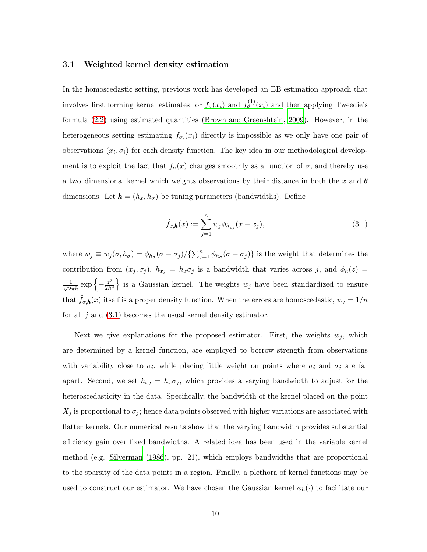#### <span id="page-9-0"></span>3.1 Weighted kernel density estimation

In the homoscedastic setting, previous work has developed an EB estimation approach that involves first forming kernel estimates for  $f_{\sigma}(x_i)$  and  $f_{\sigma}^{(1)}(x_i)$  and then applying Tweedie's formula [\(2.2\)](#page-5-2) using estimated quantities [\(Brown and Greenshtein](#page-28-4), [2009](#page-28-4)). However, in the heterogeneous setting estimating  $f_{\sigma_i}(x_i)$  directly is impossible as we only have one pair of observations  $(x_i, \sigma_i)$  for each density function. The key idea in our methodological development is to exploit the fact that  $f_{\sigma}(x)$  changes smoothly as a function of  $\sigma$ , and thereby use a two–dimensional kernel which weights observations by their distance in both the x and  $\theta$ dimensions. Let  $\mathbf{h} = (h_x, h_{\sigma})$  be tuning parameters (bandwidths). Define

<span id="page-9-1"></span>
$$
\hat{f}_{\sigma,\mathbf{h}}(x) := \sum_{j=1}^{n} w_j \phi_{h_{xj}}(x - x_j),
$$
\n(3.1)

where  $w_j \equiv w_j(\sigma, h_{\sigma}) = \phi_{h_{\sigma}}(\sigma - \sigma_j)/\{\sum_{j=1}^n \phi_{h_{\sigma}}(\sigma - \sigma_j)\}\$ is the weight that determines the contribution from  $(x_j, \sigma_j)$ ,  $h_{xj} = h_x \sigma_j$  is a bandwidth that varies across j, and  $\phi_h(z) =$  $\frac{1}{\sqrt{2\pi}h} \exp \left\{-\frac{z^2}{2h^2}\right\}$  $\left\{\frac{z^2}{2h^2}\right\}$  is a Gaussian kernel. The weights  $w_j$  have been standardized to ensure that  $\hat{f}_{\sigma,\mathbf{h}}(x)$  itself is a proper density function. When the errors are homoscedastic,  $w_j = 1/n$ for all j and  $(3.1)$  becomes the usual kernel density estimator.

Next we give explanations for the proposed estimator. First, the weights  $w_j$ , which are determined by a kernel function, are employed to borrow strength from observations with variability close to  $\sigma_i$ , while placing little weight on points where  $\sigma_i$  and  $\sigma_j$  are far apart. Second, we set  $h_{xj} = h_x \sigma_j$ , which provides a varying bandwidth to adjust for the heteroscedasticity in the data. Specifically, the bandwidth of the kernel placed on the point  $X_j$  is proportional to  $\sigma_j$ ; hence data points observed with higher variations are associated with flatter kernels. Our numerical results show that the varying bandwidth provides substantial efficiency gain over fixed bandwidths. A related idea has been used in the variable kernel method (e.g. [Silverman \(1986](#page-31-6)), pp. 21), which employs bandwidths that are proportional to the sparsity of the data points in a region. Finally, a plethora of kernel functions may be used to construct our estimator. We have chosen the Gaussian kernel  $\phi_h(\cdot)$  to facilitate our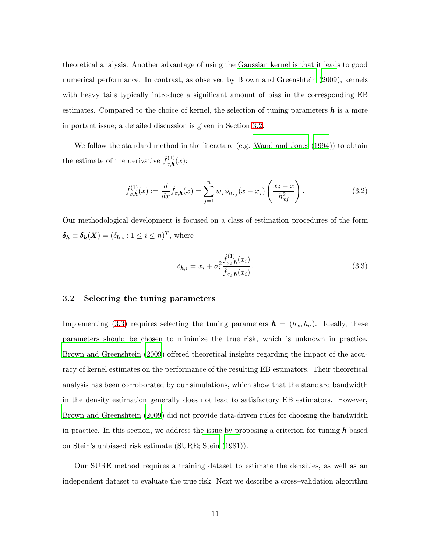theoretical analysis. Another advantage of using the Gaussian kernel is that it leads to good numerical performance. In contrast, as observed by [Brown and Greenshtein \(2009](#page-28-4)), kernels with heavy tails typically introduce a significant amount of bias in the corresponding EB estimates. Compared to the choice of kernel, the selection of tuning parameters  $h$  is a more important issue; a detailed discussion is given in Section [3.2.](#page-10-0)

We follow the standard method in the literature (e.g. [Wand and Jones \(1994](#page-31-7))) to obtain the estimate of the derivative  $\hat{f}_{\sigma,\mathbf{h}}^{(1)}(x)$ :

$$
\hat{f}_{\sigma,\mathbf{h}}^{(1)}(x) := \frac{d}{dx}\hat{f}_{\sigma,\mathbf{h}}(x) = \sum_{j=1}^{n} w_j \phi_{h_{xj}}(x - x_j) \left(\frac{x_j - x}{h_{xj}^2}\right). \tag{3.2}
$$

Our methodological development is focused on a class of estimation procedures of the form  $\boldsymbol{\delta_h} \equiv \boldsymbol{\delta_h}(\boldsymbol{X}) = (\delta_{\boldsymbol{h},i} : 1 \leq i \leq n)^T$ , where

<span id="page-10-1"></span>
$$
\delta_{\mathbf{h},i} = x_i + \sigma_i^2 \frac{\hat{f}_{\sigma_i, \mathbf{h}}^{(1)}(x_i)}{\hat{f}_{\sigma_i, \mathbf{h}}(x_i)}.
$$
\n(3.3)

#### <span id="page-10-0"></span>3.2 Selecting the tuning parameters

Implementing [\(3.3\)](#page-10-1) requires selecting the tuning parameters  $\mathbf{h} = (h_x, h_{\sigma})$ . Ideally, these parameters should be chosen to minimize the true risk, which is unknown in practice. [Brown and Greenshtein \(2009](#page-28-4)) offered theoretical insights regarding the impact of the accuracy of kernel estimates on the performance of the resulting EB estimators. Their theoretical analysis has been corroborated by our simulations, which show that the standard bandwidth in the density estimation generally does not lead to satisfactory EB estimators. However, [Brown and Greenshtein \(2009\)](#page-28-4) did not provide data-driven rules for choosing the bandwidth in practice. In this section, we address the issue by proposing a criterion for tuning  $\bm{h}$  based on Stein's unbiased risk estimate (SURE; [Stein \(1981](#page-31-8))).

Our SURE method requires a training dataset to estimate the densities, as well as an independent dataset to evaluate the true risk. Next we describe a cross–validation algorithm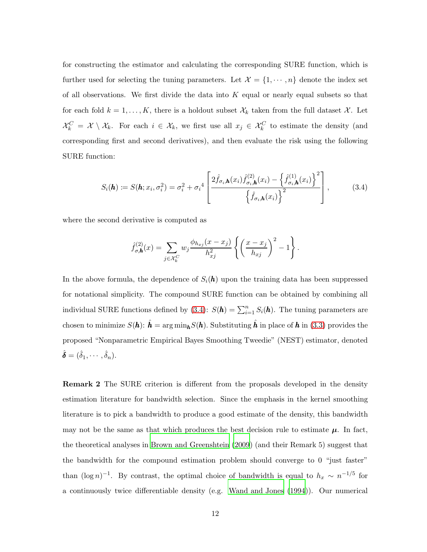for constructing the estimator and calculating the corresponding SURE function, which is further used for selecting the tuning parameters. Let  $\mathcal{X} = \{1, \cdots, n\}$  denote the index set of all observations. We first divide the data into  $K$  equal or nearly equal subsets so that for each fold  $k = 1, ..., K$ , there is a holdout subset  $\mathcal{X}_k$  taken from the full dataset  $\mathcal{X}$ . Let  $\mathcal{X}_k^C = \mathcal{X} \setminus \mathcal{X}_k$ . For each  $i \in \mathcal{X}_k$ , we first use all  $x_j \in \mathcal{X}_k^C$  to estimate the density (and corresponding first and second derivatives), and then evaluate the risk using the following SURE function:

<span id="page-11-0"></span>
$$
S_i(\mathbf{h}) := S(\mathbf{h}; x_i, \sigma_i^2) = \sigma_i^2 + {\sigma_i}^4 \left[ \frac{2 \hat{f}_{\sigma_i, \mathbf{h}}(x_i) \hat{f}_{\sigma_i, \mathbf{h}}^{(2)}(x_i) - \left\{ \hat{f}_{\sigma_i, \mathbf{h}}^{(1)}(x_i) \right\}^2}{\left\{ \hat{f}_{\sigma_i, \mathbf{h}}(x_i) \right\}^2} \right],
$$
(3.4)

where the second derivative is computed as

$$
\hat{f}_{\sigma,\mathbf{h}}^{(2)}(x) = \sum_{j \in \mathcal{X}_k^C} w_j \frac{\phi_{h_{xj}}(x - x_j)}{h_{xj}^2} \left\{ \left( \frac{x - x_j}{h_{xj}} \right)^2 - 1 \right\}.
$$

In the above formula, the dependence of  $S_i(\boldsymbol{h})$  upon the training data has been suppressed for notational simplicity. The compound SURE function can be obtained by combining all individual SURE functions defined by [\(3.4\)](#page-11-0):  $S(\boldsymbol{h}) = \sum_{i=1}^{n} S_i(\boldsymbol{h})$ . The tuning parameters are chosen to minimize  $S(h)$ :  $\hat{h} = \arg \min_{h} S(h)$ . Substituting  $\hat{h}$  in place of h in [\(3.3\)](#page-10-1) provides the proposed "Nonparametric Empirical Bayes Smoothing Tweedie" (NEST) estimator, denoted  $\hat{\boldsymbol{\delta}} = (\hat{\delta}_1, \cdots, \hat{\delta}_n).$ 

Remark 2 The SURE criterion is different from the proposals developed in the density estimation literature for bandwidth selection. Since the emphasis in the kernel smoothing literature is to pick a bandwidth to produce a good estimate of the density, this bandwidth may not be the same as that which produces the best decision rule to estimate  $\mu$ . In fact, the theoretical analyses in [Brown and Greenshtein \(2009](#page-28-4)) (and their Remark 5) suggest that the bandwidth for the compound estimation problem should converge to 0 "just faster" than  $(\log n)^{-1}$ . By contrast, the optimal choice of bandwidth is equal to  $h_x \sim n^{-1/5}$  for a continuously twice differentiable density (e.g. [Wand and Jones \(1994\)](#page-31-7)). Our numerical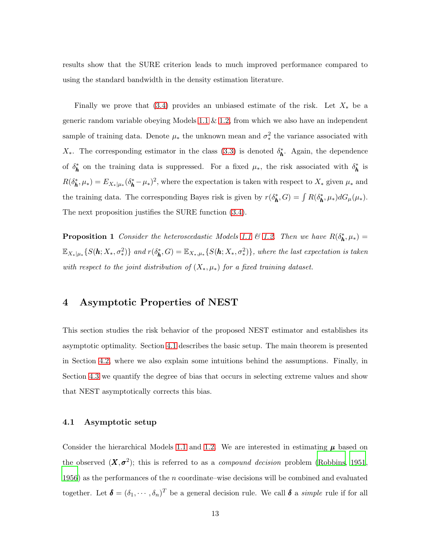results show that the SURE criterion leads to much improved performance compared to using the standard bandwidth in the density estimation literature.

Finally we prove that [\(3.4\)](#page-11-0) provides an unbiased estimate of the risk. Let  $X_*$  be a generic random variable obeying Models [1.1](#page-3-0)  $\&$  [1.2,](#page-3-1) from which we also have an independent sample of training data. Denote  $\mu_*$  the unknown mean and  $\sigma_*^2$  $\frac{2}{\ast}$  the variance associated with  $X_*$ . The corresponding estimator in the class [\(3.3\)](#page-10-1) is denoted  $\delta_{\mathbf{h}}^*$ . Again, the dependence of  $\delta_{\bf h}^*$  on the training data is suppressed. For a fixed  $\mu_*$ , the risk associated with  $\delta_{\bf h}^*$  is  $R(\delta_{\mathbf{h}}^*, \mu_*) = E_{X_*|\mu_*}(\delta_{\mathbf{h}}^* - \mu_*)^2$ , where the expectation is taken with respect to  $X_*$  given  $\mu_*$  and the training data. The corresponding Bayes risk is given by  $r(\delta_{\bf h}^*, G) = \int R(\delta_{\bf h}^*, \mu_*) dG_{\mu}(\mu_*)$ . The next proposition justifies the SURE function [\(3.4\)](#page-11-0).

<span id="page-12-2"></span>**Proposition 1** *Consider the heteroscedastic Models* [1.1](#page-3-0)  $\&$  [1.2.](#page-3-1) *Then we have*  $R(\delta_{\mathbf{k}}^*, \mu_*) =$  $\mathbb{E}_{X_*|\mu_*}\{S(\pmb{h};X_*,\sigma_*^2)\}\$ and  $r(\delta_{\pmb{h}}^*,G)=\mathbb{E}_{X_*,\mu_*}\{S(\pmb{h};X_*,\sigma_*^2)\}\$ , where the last expectation is taken *with respect to the joint distribution of*  $(X_*, \mu_*)$  *for a fixed training dataset.* 

# <span id="page-12-0"></span>4 Asymptotic Properties of NEST

This section studies the risk behavior of the proposed NEST estimator and establishes its asymptotic optimality. Section [4.1](#page-12-1) describes the basic setup. The main theorem is presented in Section [4.2,](#page-14-0) where we also explain some intuitions behind the assumptions. Finally, in Section [4.3](#page-15-0) we quantify the degree of bias that occurs in selecting extreme values and show that NEST asymptotically corrects this bias.

#### <span id="page-12-1"></span>4.1 Asymptotic setup

Consider the hierarchical Models [1.1](#page-3-0) and [1.2.](#page-3-1) We are interested in estimating  $\mu$  based on the observed  $(X, \sigma^2)$ ; this is referred to as a *compound decision* problem [\(Robbins](#page-30-5), [1951](#page-30-5), [1956](#page-30-3)) as the performances of the  $n$  coordinate–wise decisions will be combined and evaluated together. Let  $\boldsymbol{\delta} = (\delta_1, \cdots, \delta_n)^T$  be a general decision rule. We call  $\boldsymbol{\delta}$  a *simple* rule if for all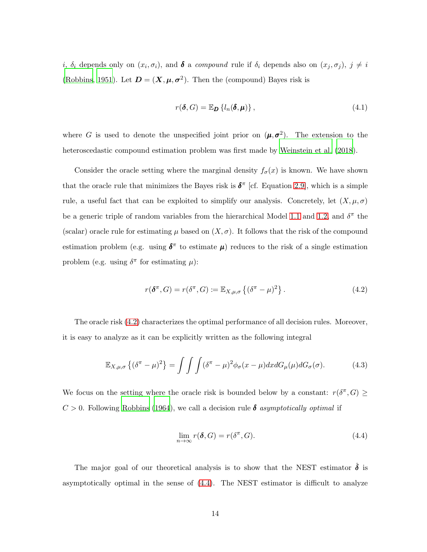*i*,  $\delta_i$  depends only on  $(x_i, \sigma_i)$ , and  $\delta$  a *compound* rule if  $\delta_i$  depends also on  $(x_j, \sigma_j)$ ,  $j \neq i$ [\(Robbins](#page-30-5), [1951](#page-30-5)). Let  $D = (X, \mu, \sigma^2)$ . Then the (compound) Bayes risk is

<span id="page-13-2"></span>
$$
r(\boldsymbol{\delta}, G) = \mathbb{E}_{\boldsymbol{D}} \left\{ l_n(\boldsymbol{\delta}, \boldsymbol{\mu}) \right\},\tag{4.1}
$$

where G is used to denote the unspecified joint prior on  $(\mu, \sigma^2)$ . The extension to the heteroscedastic compound estimation problem was first made by [Weinstein et al. \(2018](#page-31-2)).

Consider the oracle setting where the marginal density  $f_{\sigma}(x)$  is known. We have shown that the oracle rule that minimizes the Bayes risk is  $\delta^{\pi}$  [cf. Equation [2.9\]](#page-7-0), which is a simple rule, a useful fact that can be exploited to simplify our analysis. Concretely, let  $(X, \mu, \sigma)$ be a generic triple of random variables from the hierarchical Model [1.1](#page-3-0) and [1.2,](#page-3-1) and  $\delta^{\pi}$  the (scalar) oracle rule for estimating  $\mu$  based on  $(X, \sigma)$ . It follows that the risk of the compound estimation problem (e.g. using  $\delta^{\pi}$  to estimate  $\mu$ ) reduces to the risk of a single estimation problem (e.g. using  $\delta^{\pi}$  for estimating  $\mu$ ):

<span id="page-13-0"></span>
$$
r(\boldsymbol{\delta}^{\pi}, G) = r(\boldsymbol{\delta}^{\pi}, G) \coloneqq \mathbb{E}_{X, \mu, \sigma} \left\{ (\boldsymbol{\delta}^{\pi} - \mu)^2 \right\}.
$$
 (4.2)

The oracle risk [\(4.2\)](#page-13-0) characterizes the optimal performance of all decision rules. Moreover, it is easy to analyze as it can be explicitly written as the following integral

<span id="page-13-3"></span>
$$
\mathbb{E}_{X,\mu,\sigma}\left\{(\delta^{\pi}-\mu)^{2}\right\} = \int\int\int (\delta^{\pi}-\mu)^{2}\phi_{\sigma}(x-\mu)dxdG_{\mu}(\mu)dG_{\sigma}(\sigma). \tag{4.3}
$$

We focus on the setting where the oracle risk is bounded below by a constant:  $r(\delta^{\pi}, G) \geq$  $C > 0$ . Following [Robbins \(1964\)](#page-30-8), we call a decision rule  $\delta$  *asymptotically optimal* if

<span id="page-13-1"></span>
$$
\lim_{n \to \infty} r(\delta, G) = r(\delta^{\pi}, G). \tag{4.4}
$$

The major goal of our theoretical analysis is to show that the NEST estimator  $\hat{\delta}$  is asymptotically optimal in the sense of [\(4.4\)](#page-13-1). The NEST estimator is difficult to analyze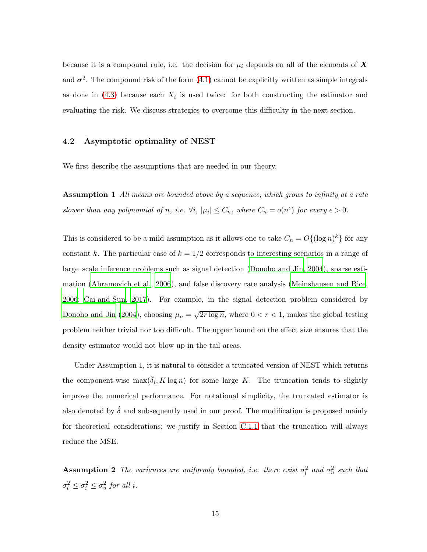because it is a compound rule, i.e. the decision for  $\mu_i$  depends on all of the elements of X and  $\sigma^2$ . The compound risk of the form [\(4.1\)](#page-13-2) cannot be explicitly written as simple integrals as done in  $(4.3)$  because each  $X_i$  is used twice: for both constructing the estimator and evaluating the risk. We discuss strategies to overcome this difficulty in the next section.

#### <span id="page-14-0"></span>4.2 Asymptotic optimality of NEST

<span id="page-14-1"></span>We first describe the assumptions that are needed in our theory.

Assumption 1 *All means are bounded above by a sequence, which grows to infinity at a rate slower than any polynomial of n, i.e.*  $\forall i, |\mu_i| \leq C_n$ *, where*  $C_n = o(n^{\epsilon})$  *for every*  $\epsilon > 0$ *.* 

This is considered to be a mild assumption as it allows one to take  $C_n = O({(\log n)^k})$  for any constant k. The particular case of  $k = 1/2$  corresponds to interesting scenarios in a range of large–scale inference problems such as signal detection [\(Donoho and Jin, 2004](#page-29-9)), sparse estimation [\(Abramovich et al.](#page-27-1), [2006](#page-27-1)), and false discovery rate analysis [\(Meinshausen and Rice,](#page-30-9) [2006](#page-30-9); [Cai and Sun, 2017](#page-28-8)). For example, in the signal detection problem considered by [Donoho and Jin \(2004\)](#page-29-9), choosing  $\mu_n = \sqrt{2r \log n}$ , where  $0 < r < 1$ , makes the global testing problem neither trivial nor too difficult. The upper bound on the effect size ensures that the density estimator would not blow up in the tail areas.

Under Assumption 1, it is natural to consider a truncated version of NEST which returns the component-wise  $\max(\hat{\delta}_i, K \log n)$  for some large K. The truncation tends to slightly improve the numerical performance. For notational simplicity, the truncated estimator is also denoted by  $\hat{\delta}$  and subsequently used in our proof. The modification is proposed mainly for theoretical considerations; we justify in Section [C.1.1](#page-46-0) that the truncation will always reduce the MSE.

**Assumption 2** The variances are uniformly bounded, i.e. there exist  $\sigma_l^2$  and  $\sigma_u^2$  such that  $\sigma_l^2 \leq \sigma_i^2 \leq \sigma_u^2$  for all *i*.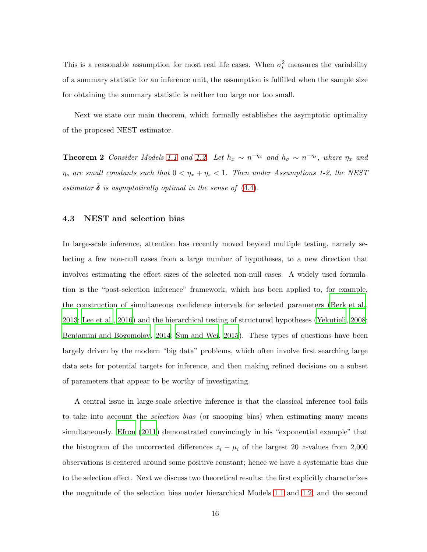This is a reasonable assumption for most real life cases. When  $\sigma_i^2$  measures the variability of a summary statistic for an inference unit, the assumption is fulfilled when the sample size for obtaining the summary statistic is neither too large nor too small.

<span id="page-15-1"></span>Next we state our main theorem, which formally establishes the asymptotic optimality of the proposed NEST estimator.

**Theorem 2** *Consider Models* [1.1](#page-3-0) *and* [1.2.](#page-3-1) Let  $h_x \sim n^{-\eta_x}$  *and*  $h_\sigma \sim n^{-\eta_s}$ *, where*  $\eta_x$  *and*  $\eta_s$  are small constants such that  $0 < \eta_x + \eta_s < 1$ . Then under Assumptions 1-2, the NEST *estimator*  $\hat{\boldsymbol{\delta}}$  *is asymptotically optimal in the sense of* [\(4.4\)](#page-13-1)*.* 

#### <span id="page-15-0"></span>4.3 NEST and selection bias

In large-scale inference, attention has recently moved beyond multiple testing, namely selecting a few non-null cases from a large number of hypotheses, to a new direction that involves estimating the effect sizes of the selected non-null cases. A widely used formulation is the "post-selection inference" framework, which has been applied to, for example, the construction of simultaneous confidence intervals for selected parameters [\(Berk et al.,](#page-28-1) [2013](#page-28-1); [Lee et al.](#page-30-0), [2016](#page-30-0)) and the hierarchical testing of structured hypotheses [\(Yekutieli](#page-32-1), [2008](#page-32-1); [Benjamini and Bogomolov, 2014](#page-27-2); [Sun and Wei](#page-31-9), [2015](#page-31-9)). These types of questions have been largely driven by the modern "big data" problems, which often involve first searching large data sets for potential targets for inference, and then making refined decisions on a subset of parameters that appear to be worthy of investigating.

A central issue in large-scale selective inference is that the classical inference tool fails to take into account the *selection bias* (or snooping bias) when estimating many means simultaneously. [Efron \(2011](#page-29-2)) demonstrated convincingly in his "exponential example" that the histogram of the uncorrected differences  $z_i - \mu_i$  of the largest 20 z-values from 2,000 observations is centered around some positive constant; hence we have a systematic bias due to the selection effect. Next we discuss two theoretical results: the first explicitly characterizes the magnitude of the selection bias under hierarchical Models [1.1](#page-3-0) and [1.2,](#page-3-1) and the second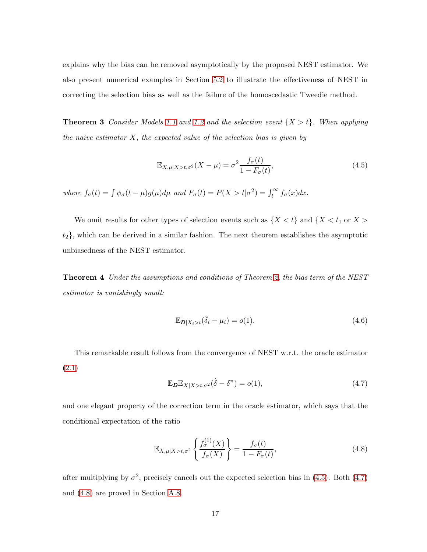<span id="page-16-3"></span>explains why the bias can be removed asymptotically by the proposed NEST estimator. We also present numerical examples in Section [5.2](#page-22-0) to illustrate the effectiveness of NEST in correcting the selection bias as well as the failure of the homoscedastic Tweedie method.

**Theorem 3** *Consider Models* [1.1](#page-3-0) *and* [1.2](#page-3-1) *and* the selection event  $\{X > t\}$ *. When applying the naive estimator* X*, the expected value of the selection bias is given by*

<span id="page-16-0"></span>
$$
\mathbb{E}_{X,\mu|X>t,\sigma^2}(X-\mu) = \sigma^2 \frac{f_{\sigma}(t)}{1-F_{\sigma}(t)},\tag{4.5}
$$

where  $f_{\sigma}(t) = \int \phi_{\sigma}(t - \mu) g(\mu) d\mu$  and  $F_{\sigma}(t) = P(X > t | \sigma^2) = \int_t^{\infty} f_{\sigma}(x) dx$ .

<span id="page-16-4"></span>We omit results for other types of selection events such as  $\{X < t\}$  and  $\{X < t_1$  or  $X >$  $t_2$ , which can be derived in a similar fashion. The next theorem establishes the asymptotic unbiasedness of the NEST estimator.

Theorem 4 *Under the assumptions and conditions of Theorem [2,](#page-15-1) the bias term of the NEST estimator is vanishingly small:*

$$
\mathbb{E}_{\mathbf{D}|X_i > t}(\hat{\delta}_i - \mu_i) = o(1). \tag{4.6}
$$

This remarkable result follows from the convergence of NEST w.r.t. the oracle estimator [\(2.1\)](#page-5-1)

<span id="page-16-1"></span>
$$
\mathbb{E}_{\boldsymbol{D}} \mathbb{E}_{X|X>t,\sigma^2}(\hat{\delta} - \delta^{\pi}) = o(1),\tag{4.7}
$$

and one elegant property of the correction term in the oracle estimator, which says that the conditional expectation of the ratio

<span id="page-16-2"></span>
$$
\mathbb{E}_{X,\mu|X>t,\sigma^2} \left\{ \frac{f_{\sigma}^{(1)}(X)}{f_{\sigma}(X)} \right\} = \frac{f_{\sigma}(t)}{1 - F_{\sigma}(t)},\tag{4.8}
$$

after multiplying by  $\sigma^2$ , precisely cancels out the expected selection bias in [\(4.5\)](#page-16-0). Both [\(4.7\)](#page-16-1) and [\(4.8\)](#page-16-2) are proved in Section [A.8.](#page-42-0)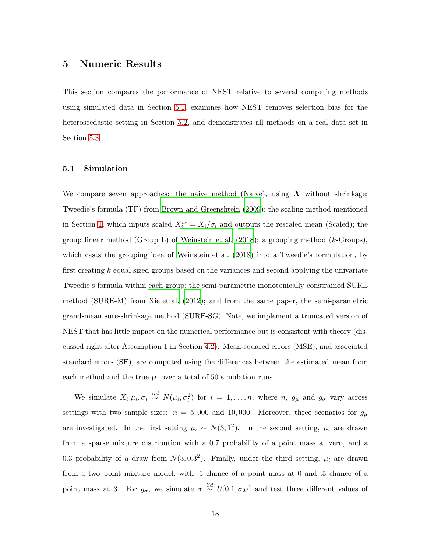## <span id="page-17-0"></span>5 Numeric Results

This section compares the performance of NEST relative to several competing methods using simulated data in Section [5.1,](#page-17-1) examines how NEST removes selection bias for the heteroscedastic setting in Section [5.2,](#page-22-0) and demonstrates all methods on a real data set in Section [5.3.](#page-24-0)

#### <span id="page-17-1"></span>5.1 Simulation

We compare seven approaches: the naive method (Naive), using  $X$  without shrinkage; Tweedie's formula (TF) from [Brown and Greenshtein \(2009](#page-28-4)); the scaling method mentioned in Section [1,](#page-1-0) which inputs scaled  $X_i^{sc} = X_i/\sigma_i$  and outputs the rescaled mean (Scaled); the group linear method (Group L) of Weinstein et al.  $(2018)$ ; a grouping method (k-Groups), which casts the grouping idea of [Weinstein et al. \(2018](#page-31-2)) into a Tweedie's formulation, by first creating  $k$  equal sized groups based on the variances and second applying the univariate Tweedie's formula within each group; the semi-parametric monotonically constrained SURE method (SURE-M) from [Xie et al. \(2012\)](#page-31-4); and from the same paper, the semi-parametric grand-mean sure-shrinkage method (SURE-SG). Note, we implement a truncated version of NEST that has little impact on the numerical performance but is consistent with theory (discussed right after Assumption 1 in Section [4.2\)](#page-14-0). Mean-squared errors (MSE), and associated standard errors (SE), are computed using the differences between the estimated mean from each method and the true  $\mu$ , over a total of 50 simulation runs.

We simulate  $X_i|\mu_i, \sigma_i \stackrel{iid}{\sim} N(\mu_i, \sigma_i^2)$  for  $i = 1, ..., n$ , where n,  $g_{\mu}$  and  $g_{\sigma}$  vary across settings with two sample sizes:  $n = 5,000$  and 10,000. Moreover, three scenarios for  $g_{\mu}$ are investigated. In the first setting  $\mu_i \sim N(3, 1^2)$ . In the second setting,  $\mu_i$  are drawn from a sparse mixture distribution with a 0.7 probability of a point mass at zero, and a 0.3 probability of a draw from  $N(3, 0.3^2)$ . Finally, under the third setting,  $\mu_i$  are drawn from a two–point mixture model, with .5 chance of a point mass at 0 and .5 chance of a point mass at 3. For  $g_{\sigma}$ , we simulate  $\sigma \stackrel{iid}{\sim} U[0.1, \sigma_M]$  and test three different values of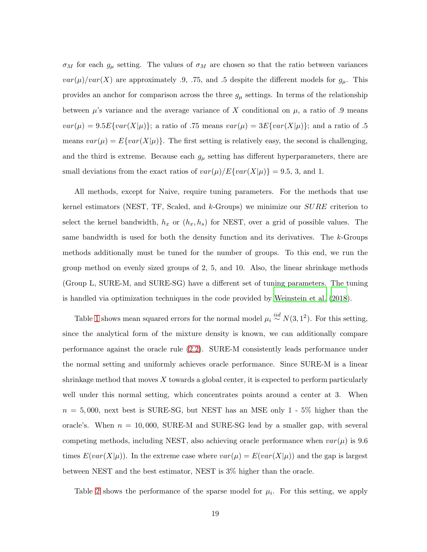$\sigma_M$  for each  $g_\mu$  setting. The values of  $\sigma_M$  are chosen so that the ratio between variances  $var(\mu)/var(X)$  are approximately .9, .75, and .5 despite the different models for  $g_{\mu}$ . This provides an anchor for comparison across the three  $g_{\mu}$  settings. In terms of the relationship between  $\mu$ 's variance and the average variance of X conditional on  $\mu$ , a ratio of .9 means  $var(\mu) = 9.5E\{var(X|\mu)\};$  a ratio of .75 means  $var(\mu) = 3E\{var(X|\mu)\};$  and a ratio of .5 means  $var(\mu) = E\{var(X|\mu)\}\.$  The first setting is relatively easy, the second is challenging, and the third is extreme. Because each  $g_{\mu}$  setting has different hyperparameters, there are small deviations from the exact ratios of  $var(\mu)/E\{var(X|\mu)\}=9.5, 3, \text{ and } 1.$ 

All methods, except for Naive, require tuning parameters. For the methods that use kernel estimators (NEST, TF, Scaled, and  $k$ -Groups) we minimize our  $\textit{SURE}$  criterion to select the kernel bandwidth,  $h_x$  or  $(h_x, h_s)$  for NEST, over a grid of possible values. The same bandwidth is used for both the density function and its derivatives. The k-Groups methods additionally must be tuned for the number of groups. To this end, we run the group method on evenly sized groups of 2, 5, and 10. Also, the linear shrinkage methods (Group L, SURE-M, and SURE-SG) have a different set of tuning parameters. The tuning is handled via optimization techniques in the code provided by [Weinstein et al. \(2018\)](#page-31-2).

Table [1](#page-19-0) shows mean squared errors for the normal model  $\mu_i \stackrel{iid}{\sim} N(3, 1^2)$ . For this setting, since the analytical form of the mixture density is known, we can additionally compare performance against the oracle rule [\(2.2\)](#page-5-2). SURE-M consistently leads performance under the normal setting and uniformly achieves oracle performance. Since SURE-M is a linear shrinkage method that moves  $X$  towards a global center, it is expected to perform particularly well under this normal setting, which concentrates points around a center at 3. When  $n = 5,000$ , next best is SURE-SG, but NEST has an MSE only 1 - 5% higher than the oracle's. When  $n = 10,000$ , SURE-M and SURE-SG lead by a smaller gap, with several competing methods, including NEST, also achieving oracle performance when  $var(\mu)$  is 9.6 times  $E(var(X|\mu))$ . In the extreme case where  $var(\mu) = E(var(X|\mu))$  and the gap is largest between NEST and the best estimator, NEST is 3% higher than the oracle.

Table [2](#page-20-0) shows the performance of the sparse model for  $\mu_i$ . For this setting, we apply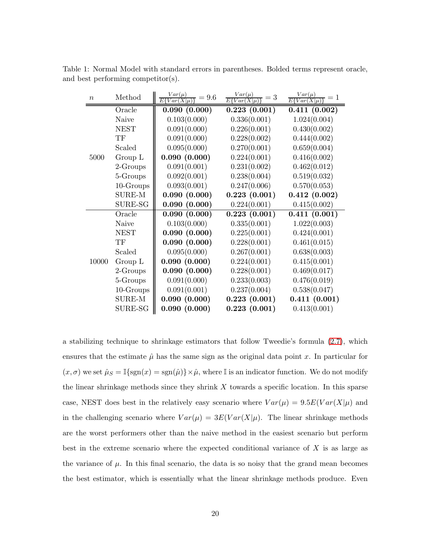Table 1: Normal Model with standard errors in parentheses. Bolded terms represent oracle, and best performing competitor(s).

<span id="page-19-0"></span>

| $\boldsymbol{n}$ | Method        | $\frac{Var(\mu)}{Var(X \mu)}$<br>$\tau = 9.6$<br>Εł | $\frac{Var(\mu)}{E\{Var(X \mu)}$<br>$\overline{r} = 3$ | $Var(\mu)$<br>$=1$<br>$E\{Var(X \mu)$ |
|------------------|---------------|-----------------------------------------------------|--------------------------------------------------------|---------------------------------------|
|                  | Oracle        | 0.090(0.000)                                        | 0.223(0.001)                                           | 0.411(0.002)                          |
| 5000             | Naive         | 0.103(0.000)                                        | 0.336(0.001)                                           | 1.024(0.004)                          |
|                  | <b>NEST</b>   | 0.091(0.000)                                        | 0.226(0.001)                                           | 0.430(0.002)                          |
|                  | TF            | 0.091(0.000)                                        | 0.228(0.002)                                           | 0.444(0.002)                          |
|                  | Scaled        | 0.095(0.000)                                        | 0.270(0.001)                                           | 0.659(0.004)                          |
|                  | Group L       | 0.090(0.000)                                        | 0.224(0.001)                                           | 0.416(0.002)                          |
|                  | 2-Groups      | 0.091(0.001)                                        | 0.231(0.002)                                           | 0.462(0.012)                          |
|                  | 5-Groups      | 0.092(0.001)                                        | 0.238(0.004)                                           | 0.519(0.032)                          |
|                  | $10$ -Groups  | 0.093(0.001)                                        | 0.247(0.006)                                           | 0.570(0.053)                          |
|                  | <b>SURE-M</b> | 0.090(0.000)                                        | 0.223(0.001)                                           | 0.412(0.002)                          |
|                  | SURE-SG       | 0.090(0.000)                                        | 0.224(0.001)                                           | 0.415(0.002)                          |
|                  | Oracle        | 0.090(0.000)                                        | 0.223(0.001)                                           | 0.411(0.001)                          |
|                  | Naive         | 0.103(0.000)                                        | 0.335(0.001)                                           | 1.022(0.003)                          |
|                  | <b>NEST</b>   | 0.090(0.000)                                        | 0.225(0.001)                                           | 0.424(0.001)                          |
|                  | TF            | 0.090(0.000)                                        | 0.228(0.001)                                           | 0.461(0.015)                          |
|                  | Scaled        | 0.095(0.000)                                        | 0.267(0.001)                                           | 0.638(0.003)                          |
| 10000            | Group L       | 0.090(0.000)                                        | 0.224(0.001)                                           | 0.415(0.001)                          |
|                  | 2-Groups      | 0.090(0.000)                                        | 0.228(0.001)                                           | 0.469(0.017)                          |
|                  | 5-Groups      | 0.091(0.000)                                        | 0.233(0.003)                                           | 0.476(0.019)                          |
|                  | $10$ -Groups  | 0.091(0.001)                                        | 0.237(0.004)                                           | 0.538(0.047)                          |
|                  | SURE-M        | 0.090(0.000)                                        | 0.223(0.001)                                           | 0.411(0.001)                          |
|                  | SURE-SG       | 0.090(0.000)                                        | 0.223(0.001)                                           | 0.413(0.001)                          |

a stabilizing technique to shrinkage estimators that follow Tweedie's formula [\(2.7\)](#page-7-2), which ensures that the estimate  $\hat{\mu}$  has the same sign as the original data point x. In particular for  $(x, \sigma)$  we set  $\hat{\mu}_S = \mathbb{I}\{\text{sgn}(x) = \text{sgn}(\hat{\mu})\}\times \hat{\mu}$ , where  $\mathbb{I}$  is an indicator function. We do not modify the linear shrinkage methods since they shrink  $X$  towards a specific location. In this sparse case, NEST does best in the relatively easy scenario where  $Var(\mu) = 9.5E(Var(X|\mu))$  and in the challenging scenario where  $Var(\mu) = 3E(Var(X|\mu))$ . The linear shrinkage methods are the worst performers other than the naive method in the easiest scenario but perform best in the extreme scenario where the expected conditional variance of  $X$  is as large as the variance of  $\mu$ . In this final scenario, the data is so noisy that the grand mean becomes the best estimator, which is essentially what the linear shrinkage methods produce. Even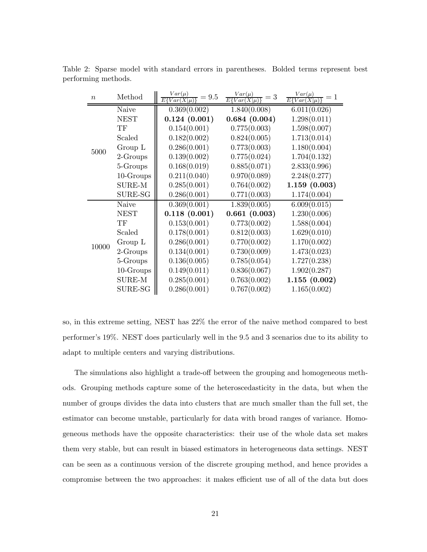<span id="page-20-0"></span>

| $\boldsymbol{n}$ | Method        | $Var(\mu)$<br>$= 9.5$<br>$E\{Var(X \mu)$ | $Var(\mu)$<br>$=$ 3<br>$E\{Var(X \mu)$ | $Var(\mu)$<br>$E\{Var(X \mu)$ |
|------------------|---------------|------------------------------------------|----------------------------------------|-------------------------------|
| 5000             | Naive         | 0.369(0.002)                             | 1.840(0.008)                           | 6.011(0.026)                  |
|                  | <b>NEST</b>   | 0.124(0.001)                             | 0.684(0.004)                           | 1.298(0.011)                  |
|                  | TF            | 0.154(0.001)                             | 0.775(0.003)                           | 1.598(0.007)                  |
|                  | Scaled        | 0.182(0.002)                             | 0.824(0.005)                           | 1.713(0.014)                  |
|                  | Group L       | 0.286(0.001)                             | 0.773(0.003)                           | 1.180(0.004)                  |
|                  | 2-Groups      | 0.139(0.002)                             | 0.775(0.024)                           | 1.704(0.132)                  |
|                  | 5-Groups      | 0.168(0.019)                             | 0.885(0.071)                           | 2.833(0.996)                  |
|                  | $10$ -Groups  | 0.211(0.040)                             | 0.970(0.089)                           | 2.248(0.277)                  |
|                  | <b>SURE-M</b> | 0.285(0.001)                             | 0.764(0.002)                           | 1.159(0.003)                  |
|                  | SURE-SG       | 0.286(0.001)                             | 0.771(0.003)                           | 1.174(0.004)                  |
|                  | Naive         | $\overline{0.3}69(0.001)$                | 1.839(0.005)                           | 6.009(0.015)                  |
|                  | <b>NEST</b>   | 0.118(0.001)                             | 0.661(0.003)                           | 1.230(0.006)                  |
|                  | TF            | 0.153(0.001)                             | 0.773(0.002)                           | 1.588(0.004)                  |
|                  | Scaled        | 0.178(0.001)                             | 0.812(0.003)                           | 1.629(0.010)                  |
|                  | Group L       | 0.286(0.001)                             | 0.770(0.002)                           | 1.170(0.002)                  |
| 10000            | 2-Groups      | 0.134(0.001)                             | 0.730(0.009)                           | 1.473(0.023)                  |
|                  | 5-Groups      | 0.136(0.005)                             | 0.785(0.054)                           | 1.727(0.238)                  |
|                  | 10-Groups     | 0.149(0.011)                             | 0.836(0.067)                           | 1.902(0.287)                  |
|                  | SURE-M        | 0.285(0.001)                             | 0.763(0.002)                           | 1.155(0.002)                  |
|                  | SURE-SG       | 0.286(0.001)                             | 0.767(0.002)                           | 1.165(0.002)                  |

Table 2: Sparse model with standard errors in parentheses. Bolded terms represent best performing methods.

so, in this extreme setting, NEST has 22% the error of the naive method compared to best performer's 19%. NEST does particularly well in the 9.5 and 3 scenarios due to its ability to adapt to multiple centers and varying distributions.

The simulations also highlight a trade-off between the grouping and homogeneous methods. Grouping methods capture some of the heteroscedasticity in the data, but when the number of groups divides the data into clusters that are much smaller than the full set, the estimator can become unstable, particularly for data with broad ranges of variance. Homogeneous methods have the opposite characteristics: their use of the whole data set makes them very stable, but can result in biased estimators in heterogeneous data settings. NEST can be seen as a continuous version of the discrete grouping method, and hence provides a compromise between the two approaches: it makes efficient use of all of the data but does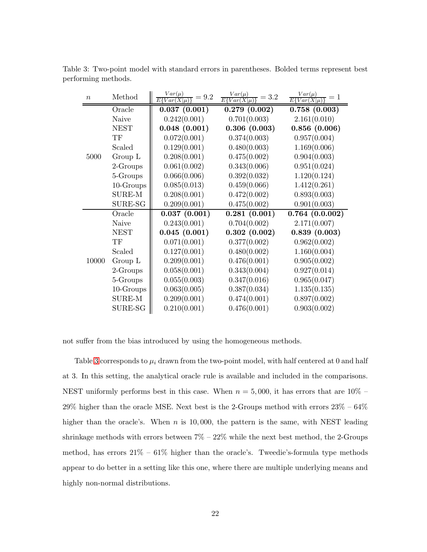<span id="page-21-0"></span>

| $\boldsymbol{n}$ | Method       | $\frac{Var(\mu)}{E\{Var(X \mu)}$<br>$=9.2$ | $\frac{Var(\mu)}{E\{Var(X \mu)}$<br>$=3.2$ | $Var(\mu)$<br>$=1$<br>$E\{Var(X \mu)$ |
|------------------|--------------|--------------------------------------------|--------------------------------------------|---------------------------------------|
|                  | Oracle       | 0.037(0.001)                               | 0.279(0.002)                               | 0.758(0.003)                          |
| 5000             | Naive        | 0.242(0.001)                               | 0.701(0.003)                               | 2.161(0.010)                          |
|                  | <b>NEST</b>  | 0.048(0.001)                               | 0.306(0.003)                               | 0.856(0.006)                          |
|                  | TF           | 0.072(0.001)                               | 0.374(0.003)                               | 0.957(0.004)                          |
|                  | Scaled       | 0.129(0.001)                               | 0.480(0.003)                               | 1.169(0.006)                          |
|                  | Group L      | 0.208(0.001)                               | 0.475(0.002)                               | 0.904(0.003)                          |
|                  | 2-Groups     | 0.061(0.002)                               | 0.343(0.006)                               | 0.951(0.024)                          |
|                  | 5-Groups     | 0.066(0.006)                               | 0.392(0.032)                               | 1.120(0.124)                          |
|                  | $10$ -Groups | 0.085(0.013)                               | 0.459(0.066)                               | 1.412(0.261)                          |
|                  | SURE-M       | 0.208(0.001)                               | 0.472(0.002)                               | 0.893(0.003)                          |
|                  | SURE-SG      | 0.209(0.001)                               | 0.475(0.002)                               | 0.901(0.003)                          |
|                  | Oracle       | 0.037(0.001)                               | 0.281(0.001)                               | 0.764(0.0.002)                        |
|                  | Naive        | 0.243(0.001)                               | 0.704(0.002)                               | 2.171(0.007)                          |
|                  | <b>NEST</b>  | 0.045(0.001)                               | 0.302(0.002)                               | 0.839(0.003)                          |
|                  | TF           | 0.071(0.001)                               | 0.377(0.002)                               | 0.962(0.002)                          |
|                  | Scaled       | 0.127(0.001)                               | 0.480(0.002)                               | 1.160(0.004)                          |
| 10000            | Group L      | 0.209(0.001)                               | 0.476(0.001)                               | 0.905(0.002)                          |
|                  | 2-Groups     | 0.058(0.001)                               | 0.343(0.004)                               | 0.927(0.014)                          |
|                  | 5-Groups     | 0.055(0.003)                               | 0.347(0.016)                               | 0.965(0.047)                          |
|                  | $10$ -Groups | 0.063(0.005)                               | 0.387(0.034)                               | 1.135(0.135)                          |
|                  | SURE-M       | 0.209(0.001)                               | 0.474(0.001)                               | 0.897(0.002)                          |
|                  | SURE-SG      | 0.210(0.001)                               | 0.476(0.001)                               | 0.903(0.002)                          |

Table 3: Two-point model with standard errors in parentheses. Bolded terms represent best performing methods.

not suffer from the bias introduced by using the homogeneous methods.

Table [3](#page-21-0) corresponds to  $\mu_i$  drawn from the two-point model, with half centered at 0 and half at 3. In this setting, the analytical oracle rule is available and included in the comparisons. NEST uniformly performs best in this case. When  $n = 5,000$ , it has errors that are 10% –  $29\%$  higher than the oracle MSE. Next best is the 2-Groups method with errors  $23\%$  –  $64\%$ higher than the oracle's. When  $n$  is 10,000, the pattern is the same, with NEST leading shrinkage methods with errors between  $7\% - 22\%$  while the next best method, the 2-Groups method, has errors  $21\% - 61\%$  higher than the oracle's. Tweedie's-formula type methods appear to do better in a setting like this one, where there are multiple underlying means and highly non-normal distributions.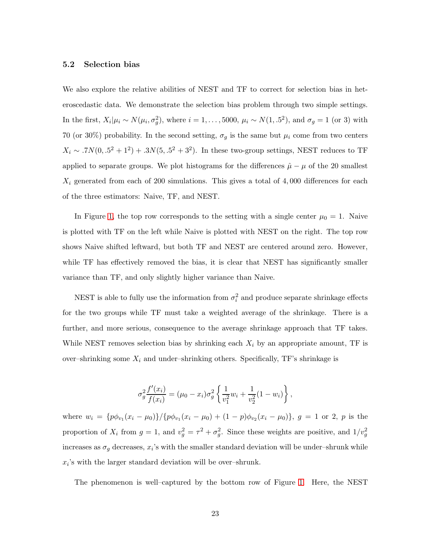#### <span id="page-22-0"></span>5.2 Selection bias

We also explore the relative abilities of NEST and TF to correct for selection bias in heteroscedastic data. We demonstrate the selection bias problem through two simple settings. In the first,  $X_i|\mu_i \sim N(\mu_i, \sigma_g^2)$ , where  $i = 1, \ldots, 5000$ ,  $\mu_i \sim N(1, .5^2)$ , and  $\sigma_g = 1$  (or 3) with 70 (or 30%) probability. In the second setting,  $\sigma_g$  is the same but  $\mu_i$  come from two centers  $X_i \sim .7N(0, .5^2 + 1^2) + .3N(5, .5^2 + 3^2)$ . In these two-group settings, NEST reduces to TF applied to separate groups. We plot histograms for the differences  $\hat{\mu} - \mu$  of the 20 smallest  $X_i$  generated from each of 200 simulations. This gives a total of 4,000 differences for each of the three estimators: Naive, TF, and NEST.

In Figure [1,](#page-23-0) the top row corresponds to the setting with a single center  $\mu_0 = 1$ . Naive is plotted with TF on the left while Naive is plotted with NEST on the right. The top row shows Naive shifted leftward, but both TF and NEST are centered around zero. However, while TF has effectively removed the bias, it is clear that NEST has significantly smaller variance than TF, and only slightly higher variance than Naive.

NEST is able to fully use the information from  $\sigma_i^2$  and produce separate shrinkage effects for the two groups while TF must take a weighted average of the shrinkage. There is a further, and more serious, consequence to the average shrinkage approach that TF takes. While NEST removes selection bias by shrinking each  $X_i$  by an appropriate amount, TF is over–shrinking some  $X_i$  and under–shrinking others. Specifically, TF's shrinkage is

$$
\sigma_g^2 \frac{f'(x_i)}{f(x_i)} = (\mu_0 - x_i)\sigma_g^2 \left\{ \frac{1}{v_1^2} w_i + \frac{1}{v_2^2} (1 - w_i) \right\},\,
$$

where  $w_i = {p\phi_{v_1}(x_i - \mu_0)}/{p\phi_{v_1}(x_i - \mu_0) + (1 - p)\phi_{v_2}(x_i - \mu_0)}, g = 1 \text{ or } 2, p \text{ is the}$ proportion of  $X_i$  from  $g = 1$ , and  $v_g^2 = \tau^2 + \sigma_g^2$ . Since these weights are positive, and  $1/v_g^2$ increases as  $\sigma_g$  decreases,  $x_i$ 's with the smaller standard deviation will be under-shrunk while  $x_i$ 's with the larger standard deviation will be over-shrunk.

The phenomenon is well–captured by the bottom row of Figure [1.](#page-23-0) Here, the NEST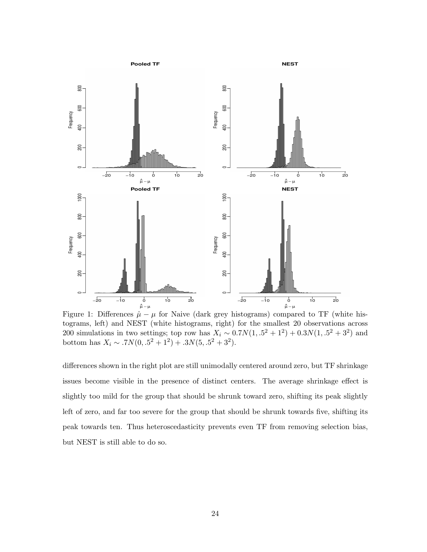

<span id="page-23-0"></span>Figure 1: Differences  $\hat{\mu} - \mu$  for Naive (dark grey histograms) compared to TF (white histograms, left) and NEST (white histograms, right) for the smallest 20 observations across 200 simulations in two settings; top row has  $X_i \sim 0.7N(1, .5^2 + 1^2) + 0.3N(1, .5^2 + 3^2)$  and bottom has  $X_i \sim .7N(0, .5^2 + 1^2) + .3N(5, .5^2 + 3^2)$ .

differences shown in the right plot are still unimodally centered around zero, but TF shrinkage issues become visible in the presence of distinct centers. The average shrinkage effect is slightly too mild for the group that should be shrunk toward zero, shifting its peak slightly left of zero, and far too severe for the group that should be shrunk towards five, shifting its peak towards ten. Thus heteroscedasticity prevents even TF from removing selection bias, but NEST is still able to do so.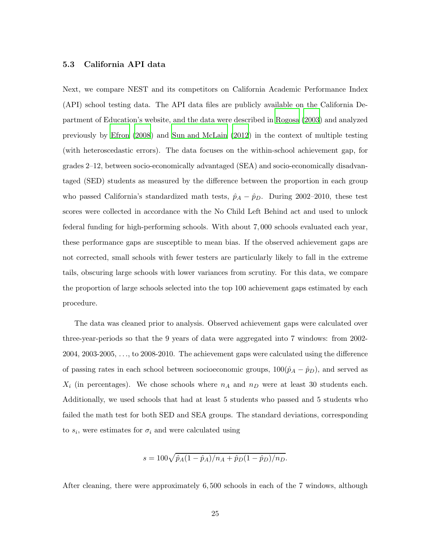#### <span id="page-24-0"></span>5.3 California API data

Next, we compare NEST and its competitors on California Academic Performance Index (API) school testing data. The API data files are publicly available on the California Department of Education's website, and the data were described in [Rogosa \(2003](#page-31-10)) and analyzed previously by [Efron \(2008](#page-29-8)) and [Sun and McLain \(2012\)](#page-31-1) in the context of multiple testing (with heteroscedastic errors). The data focuses on the within-school achievement gap, for grades 2–12, between socio-economically advantaged (SEA) and socio-economically disadvantaged (SED) students as measured by the difference between the proportion in each group who passed California's standardized math tests,  $\hat{p}_A - \hat{p}_D$ . During 2002–2010, these test scores were collected in accordance with the No Child Left Behind act and used to unlock federal funding for high-performing schools. With about 7, 000 schools evaluated each year, these performance gaps are susceptible to mean bias. If the observed achievement gaps are not corrected, small schools with fewer testers are particularly likely to fall in the extreme tails, obscuring large schools with lower variances from scrutiny. For this data, we compare the proportion of large schools selected into the top 100 achievement gaps estimated by each procedure.

The data was cleaned prior to analysis. Observed achievement gaps were calculated over three-year-periods so that the 9 years of data were aggregated into 7 windows: from 2002- 2004, 2003-2005, . . ., to 2008-2010. The achievement gaps were calculated using the difference of passing rates in each school between socioeconomic groups,  $100(\hat{p}_A - \hat{p}_D)$ , and served as  $X_i$  (in percentages). We chose schools where  $n_A$  and  $n_D$  were at least 30 students each. Additionally, we used schools that had at least 5 students who passed and 5 students who failed the math test for both SED and SEA groups. The standard deviations, corresponding to  $s_i$ , were estimates for  $\sigma_i$  and were calculated using

$$
s = 100\sqrt{\hat{p}_A(1-\hat{p}_A)/n_A + \hat{p}_D(1-\hat{p}_D)/n_D}.
$$

After cleaning, there were approximately 6, 500 schools in each of the 7 windows, although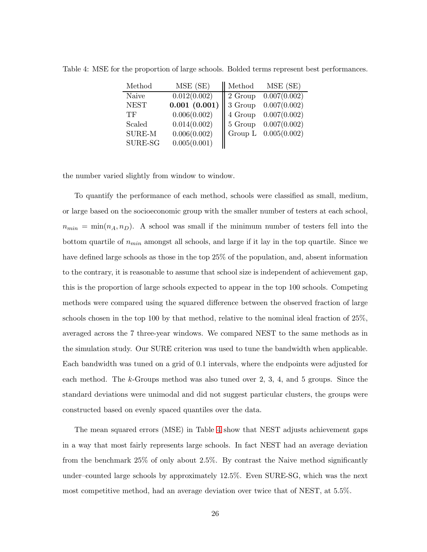| Method        | MSE (SE)     | Method  | MSE (SE)     |
|---------------|--------------|---------|--------------|
| Naive         | 0.012(0.002) | 2 Group | 0.007(0.002) |
| <b>NEST</b>   | 0.001(0.001) | 3 Group | 0.007(0.002) |
| TF            | 0.006(0.002) | 4 Group | 0.007(0.002) |
| Scaled        | 0.014(0.002) | 5 Group | 0.007(0.002) |
| <b>SURE-M</b> | 0.006(0.002) | Group L | 0.005(0.002) |
| SURE-SG       | 0.005(0.001) |         |              |

<span id="page-25-0"></span>Table 4: MSE for the proportion of large schools. Bolded terms represent best performances.

the number varied slightly from window to window.

To quantify the performance of each method, schools were classified as small, medium, or large based on the socioeconomic group with the smaller number of testers at each school,  $n_{min} = \min(n_A, n_D)$ . A school was small if the minimum number of testers fell into the bottom quartile of  $n_{min}$  amongst all schools, and large if it lay in the top quartile. Since we have defined large schools as those in the top 25% of the population, and, absent information to the contrary, it is reasonable to assume that school size is independent of achievement gap, this is the proportion of large schools expected to appear in the top 100 schools. Competing methods were compared using the squared difference between the observed fraction of large schools chosen in the top 100 by that method, relative to the nominal ideal fraction of 25%, averaged across the 7 three-year windows. We compared NEST to the same methods as in the simulation study. Our SURE criterion was used to tune the bandwidth when applicable. Each bandwidth was tuned on a grid of 0.1 intervals, where the endpoints were adjusted for each method. The k-Groups method was also tuned over 2, 3, 4, and 5 groups. Since the standard deviations were unimodal and did not suggest particular clusters, the groups were constructed based on evenly spaced quantiles over the data.

The mean squared errors (MSE) in Table [4](#page-25-0) show that NEST adjusts achievement gaps in a way that most fairly represents large schools. In fact NEST had an average deviation from the benchmark 25% of only about 2.5%. By contrast the Naive method significantly under–counted large schools by approximately 12.5%. Even SURE-SG, which was the next most competitive method, had an average deviation over twice that of NEST, at 5.5%.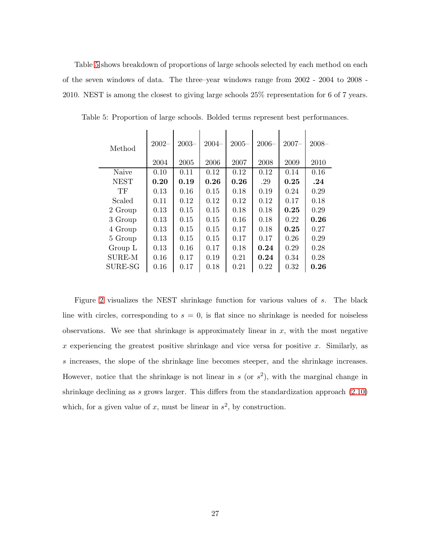Table [5](#page-26-0) shows breakdown of proportions of large schools selected by each method on each of the seven windows of data. The three–year windows range from 2002 - 2004 to 2008 - 2010. NEST is among the closest to giving large schools 25% representation for 6 of 7 years.

<span id="page-26-0"></span>

| Method        | $2002 -$ | $2003 -$ | $2004 -$ | $2005 -$ | $2006 -$ | $2007 -$ | $2008 -$ |
|---------------|----------|----------|----------|----------|----------|----------|----------|
|               | 2004     | 2005     | 2006     | 2007     | 2008     | 2009     | 2010     |
| Naive         | 0.10     | 0.11     | 0.12     | 0.12     | 0.12     | 0.14     | 0.16     |
| <b>NEST</b>   | 0.20     | 0.19     | 0.26     | 0.26     | .29      | 0.25     | .24      |
| TF            | 0.13     | 0.16     | 0.15     | 0.18     | 0.19     | 0.24     | 0.29     |
| Scaled        | 0.11     | 0.12     | 0.12     | 0.12     | 0.12     | 0.17     | 0.18     |
| 2 Group       | 0.13     | 0.15     | 0.15     | 0.18     | 0.18     | 0.25     | 0.29     |
| 3 Group       | 0.13     | 0.15     | 0.15     | 0.16     | 0.18     | 0.22     | 0.26     |
| 4 Group       | 0.13     | 0.15     | 0.15     | 0.17     | 0.18     | 0.25     | 0.27     |
| 5 Group       | 0.13     | 0.15     | 0.15     | 0.17     | 0.17     | 0.26     | 0.29     |
| Group L       | 0.13     | 0.16     | 0.17     | 0.18     | 0.24     | 0.29     | 0.28     |
| <b>SURE-M</b> | 0.16     | 0.17     | 0.19     | 0.21     | 0.24     | 0.34     | 0.28     |
| SURE-SG       | 0.16     | 0.17     | 0.18     | 0.21     | 0.22     | 0.32     | 0.26     |

Table 5: Proportion of large schools. Bolded terms represent best performances.

Figure [2](#page-27-3) visualizes the NEST shrinkage function for various values of s. The black line with circles, corresponding to  $s = 0$ , is flat since no shrinkage is needed for noiseless observations. We see that shrinkage is approximately linear in  $x$ , with the most negative x experiencing the greatest positive shrinkage and vice versa for positive x. Similarly, as s increases, the slope of the shrinkage line becomes steeper, and the shrinkage increases. However, notice that the shrinkage is not linear in s (or  $s^2$ ), with the marginal change in shrinkage declining as s grows larger. This differs from the standardization approach  $(2.10)$ which, for a given value of x, must be linear in  $s^2$ , by construction.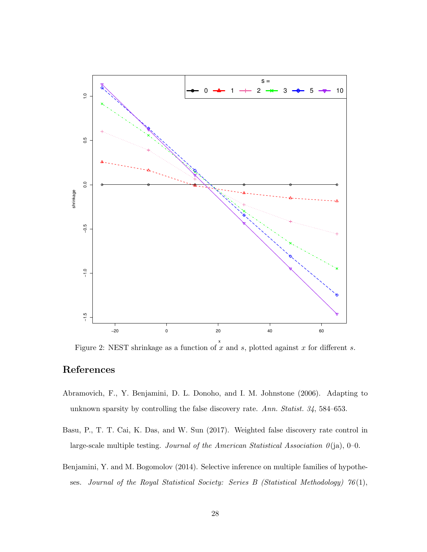

<span id="page-27-3"></span>Figure 2: NEST shrinkage as a function of x and s, plotted against x for different s.

# References

- <span id="page-27-1"></span>Abramovich, F., Y. Benjamini, D. L. Donoho, and I. M. Johnstone (2006). Adapting to unknown sparsity by controlling the false discovery rate. *Ann. Statist. 34*, 584–653.
- <span id="page-27-0"></span>Basu, P., T. T. Cai, K. Das, and W. Sun (2017). Weighted false discovery rate control in large-scale multiple testing. *Journal of the American Statistical Association 0*(ja), 0–0.
- <span id="page-27-2"></span>Benjamini, Y. and M. Bogomolov (2014). Selective inference on multiple families of hypotheses. *Journal of the Royal Statistical Society: Series B (Statistical Methodology) 76*(1),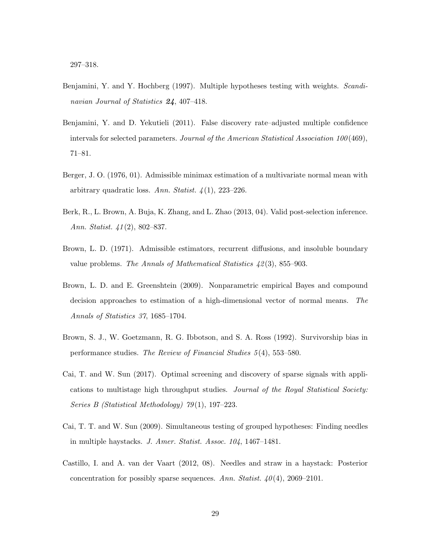- <span id="page-28-2"></span>Benjamini, Y. and Y. Hochberg (1997). Multiple hypotheses testing with weights. *Scandinavian Journal of Statistics* 24, 407–418.
- <span id="page-28-0"></span>Benjamini, Y. and D. Yekutieli (2011). False discovery rate–adjusted multiple confidence intervals for selected parameters. *Journal of the American Statistical Association 100*(469), 71–81.
- <span id="page-28-3"></span>Berger, J. O. (1976, 01). Admissible minimax estimation of a multivariate normal mean with arbitrary quadratic loss. *Ann. Statist. 4*(1), 223–226.
- <span id="page-28-1"></span>Berk, R., L. Brown, A. Buja, K. Zhang, and L. Zhao (2013, 04). Valid post-selection inference. *Ann. Statist. 41*(2), 802–837.
- <span id="page-28-9"></span>Brown, L. D. (1971). Admissible estimators, recurrent diffusions, and insoluble boundary value problems. *The Annals of Mathematical Statistics 42*(3), 855–903.
- <span id="page-28-4"></span>Brown, L. D. and E. Greenshtein (2009). Nonparametric empirical Bayes and compound decision approaches to estimation of a high-dimensional vector of normal means. *The Annals of Statistics 37*, 1685–1704.
- <span id="page-28-6"></span>Brown, S. J., W. Goetzmann, R. G. Ibbotson, and S. A. Ross (1992). Survivorship bias in performance studies. *The Review of Financial Studies 5*(4), 553–580.
- <span id="page-28-8"></span>Cai, T. and W. Sun (2017). Optimal screening and discovery of sparse signals with applications to multistage high throughput studies. *Journal of the Royal Statistical Society: Series B (Statistical Methodology) 79*(1), 197–223.
- <span id="page-28-7"></span>Cai, T. T. and W. Sun (2009). Simultaneous testing of grouped hypotheses: Finding needles in multiple haystacks. *J. Amer. Statist. Assoc. 104*, 1467–1481.
- <span id="page-28-5"></span>Castillo, I. and A. van der Vaart (2012, 08). Needles and straw in a haystack: Posterior concentration for possibly sparse sequences. *Ann. Statist. 40*(4), 2069–2101.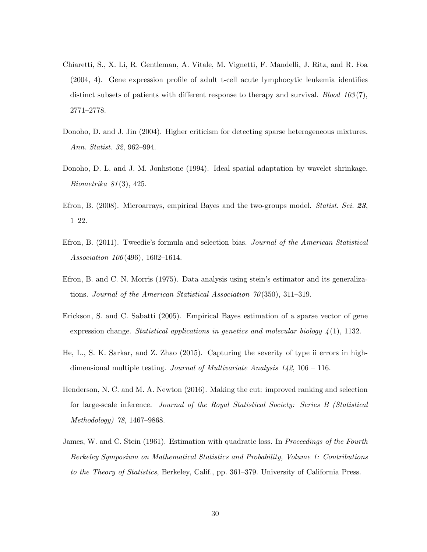- <span id="page-29-7"></span>Chiaretti, S., X. Li, R. Gentleman, A. Vitale, M. Vignetti, F. Mandelli, J. Ritz, and R. Foa (2004, 4). Gene expression profile of adult t-cell acute lymphocytic leukemia identifies distinct subsets of patients with different response to therapy and survival. *Blood 103*(7), 2771–2778.
- <span id="page-29-9"></span>Donoho, D. and J. Jin (2004). Higher criticism for detecting sparse heterogeneous mixtures. *Ann. Statist. 32*, 962–994.
- <span id="page-29-5"></span>Donoho, D. L. and J. M. Jonhstone (1994). Ideal spatial adaptation by wavelet shrinkage. *Biometrika 81*(3), 425.
- <span id="page-29-8"></span>Efron, B. (2008). Microarrays, empirical Bayes and the two-groups model. *Statist. Sci.* 23, 1–22.
- <span id="page-29-2"></span>Efron, B. (2011). Tweedie's formula and selection bias. *Journal of the American Statistical Association 106*(496), 1602–1614.
- <span id="page-29-4"></span>Efron, B. and C. N. Morris (1975). Data analysis using stein's estimator and its generalizations. *Journal of the American Statistical Association 70*(350), 311–319.
- <span id="page-29-6"></span>Erickson, S. and C. Sabatti (2005). Empirical Bayes estimation of a sparse vector of gene expression change. *Statistical applications in genetics and molecular biology 4*(1), 1132.
- <span id="page-29-0"></span>He, L., S. K. Sarkar, and Z. Zhao (2015). Capturing the severity of type ii errors in highdimensional multiple testing. *Journal of Multivariate Analysis 142*, 106 – 116.
- <span id="page-29-1"></span>Henderson, N. C. and M. A. Newton (2016). Making the cut: improved ranking and selection for large-scale inference. *Journal of the Royal Statistical Society: Series B (Statistical Methodology) 78*, 1467–9868.
- <span id="page-29-3"></span>James, W. and C. Stein (1961). Estimation with quadratic loss. In *Proceedings of the Fourth Berkeley Symposium on Mathematical Statistics and Probability, Volume 1: Contributions to the Theory of Statistics*, Berkeley, Calif., pp. 361–379. University of California Press.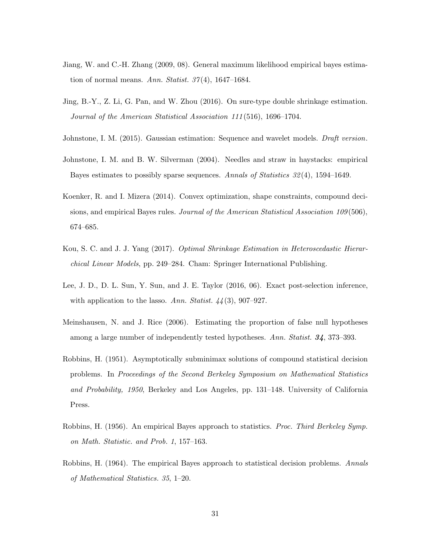- <span id="page-30-2"></span>Jiang, W. and C.-H. Zhang (2009, 08). General maximum likelihood empirical bayes estimation of normal means. *Ann. Statist. 37*(4), 1647–1684.
- <span id="page-30-6"></span>Jing, B.-Y., Z. Li, G. Pan, and W. Zhou (2016). On sure-type double shrinkage estimation. *Journal of the American Statistical Association 111*(516), 1696–1704.
- <span id="page-30-10"></span>Johnstone, I. M. (2015). Gaussian estimation: Sequence and wavelet models. *Draft version*.
- <span id="page-30-1"></span>Johnstone, I. M. and B. W. Silverman (2004). Needles and straw in haystacks: empirical Bayes estimates to possibly sparse sequences. *Annals of Statistics 32*(4), 1594–1649.
- <span id="page-30-4"></span>Koenker, R. and I. Mizera (2014). Convex optimization, shape constraints, compound decisions, and empirical Bayes rules. *Journal of the American Statistical Association 109*(506), 674–685.
- <span id="page-30-7"></span>Kou, S. C. and J. J. Yang (2017). *Optimal Shrinkage Estimation in Heteroscedastic Hierarchical Linear Models*, pp. 249–284. Cham: Springer International Publishing.
- <span id="page-30-0"></span>Lee, J. D., D. L. Sun, Y. Sun, and J. E. Taylor (2016, 06). Exact post-selection inference, with application to the lasso. *Ann. Statist. 44*(3), 907–927.
- <span id="page-30-9"></span>Meinshausen, N. and J. Rice (2006). Estimating the proportion of false null hypotheses among a large number of independently tested hypotheses. *Ann. Statist.* 34, 373–393.
- <span id="page-30-5"></span>Robbins, H. (1951). Asymptotically subminimax solutions of compound statistical decision problems. In *Proceedings of the Second Berkeley Symposium on Mathematical Statistics and Probability, 1950*, Berkeley and Los Angeles, pp. 131–148. University of California Press.
- <span id="page-30-3"></span>Robbins, H. (1956). An empirical Bayes approach to statistics. *Proc. Third Berkeley Symp. on Math. Statistic. and Prob. 1*, 157–163.
- <span id="page-30-8"></span>Robbins, H. (1964). The empirical Bayes approach to statistical decision problems. *Annals of Mathematical Statistics. 35*, 1–20.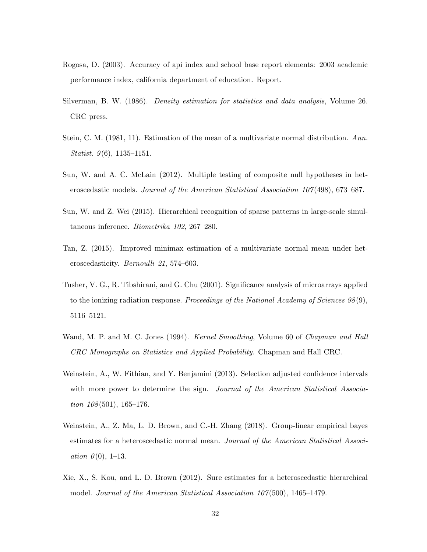- <span id="page-31-10"></span>Rogosa, D. (2003). Accuracy of api index and school base report elements: 2003 academic performance index, california department of education. Report.
- <span id="page-31-6"></span>Silverman, B. W. (1986). *Density estimation for statistics and data analysis*, Volume 26. CRC press.
- <span id="page-31-8"></span>Stein, C. M. (1981, 11). Estimation of the mean of a multivariate normal distribution. *Ann. Statist. 9*(6), 1135–1151.
- <span id="page-31-1"></span>Sun, W. and A. C. McLain (2012). Multiple testing of composite null hypotheses in heteroscedastic models. *Journal of the American Statistical Association 107*(498), 673–687.
- <span id="page-31-9"></span>Sun, W. and Z. Wei (2015). Hierarchical recognition of sparse patterns in large-scale simultaneous inference. *Biometrika 102*, 267–280.
- <span id="page-31-5"></span>Tan, Z. (2015). Improved minimax estimation of a multivariate normal mean under heteroscedasticity. *Bernoulli 21*, 574–603.
- <span id="page-31-3"></span>Tusher, V. G., R. Tibshirani, and G. Chu (2001). Significance analysis of microarrays applied to the ionizing radiation response. *Proceedings of the National Academy of Sciences 98*(9), 5116–5121.
- <span id="page-31-7"></span>Wand, M. P. and M. C. Jones (1994). *Kernel Smoothing*, Volume 60 of *Chapman and Hall CRC Monographs on Statistics and Applied Probability*. Chapman and Hall CRC.
- <span id="page-31-0"></span>Weinstein, A., W. Fithian, and Y. Benjamini (2013). Selection adjusted confidence intervals with more power to determine the sign. *Journal of the American Statistical Association 108*(501), 165–176.
- <span id="page-31-2"></span>Weinstein, A., Z. Ma, L. D. Brown, and C.-H. Zhang (2018). Group-linear empirical bayes estimates for a heteroscedastic normal mean. *Journal of the American Statistical Association 0*(0), 1–13.
- <span id="page-31-4"></span>Xie, X., S. Kou, and L. D. Brown (2012). Sure estimates for a heteroscedastic hierarchical model. *Journal of the American Statistical Association 107*(500), 1465–1479.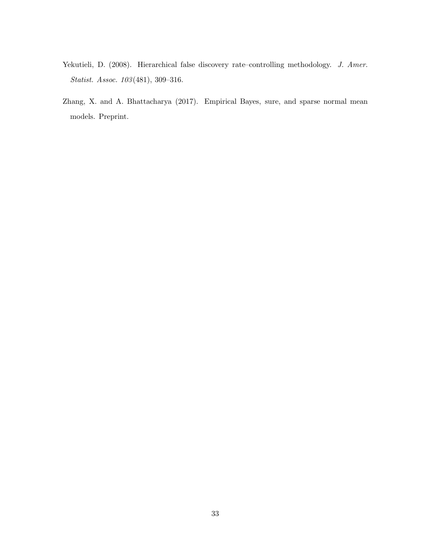- <span id="page-32-1"></span>Yekutieli, D. (2008). Hierarchical false discovery rate–controlling methodology. *J. Amer. Statist. Assoc. 103*(481), 309–316.
- <span id="page-32-0"></span>Zhang, X. and A. Bhattacharya (2017). Empirical Bayes, sure, and sparse normal mean models. Preprint.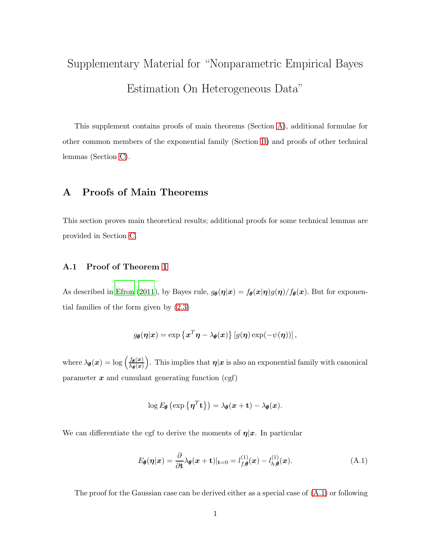# Supplementary Material for "Nonparametric Empirical Bayes Estimation On Heterogeneous Data"

This supplement contains proofs of main theorems (Section [A\)](#page-33-0), additional formulae for other common members of the exponential family (Section [B\)](#page-43-0) and proofs of other technical lemmas (Section [C\)](#page-45-0).

# <span id="page-33-0"></span>A Proofs of Main Theorems

This section proves main theoretical results; additional proofs for some technical lemmas are provided in Section [C.](#page-45-0)

#### A.1 Proof of Theorem [1](#page-6-4)

As described in [Efron \(2011\)](#page-29-2), by Bayes rule,  $g_{\theta}(\eta|x) = f_{\theta}(x|\eta)g(\eta)/f_{\theta}(x)$ . But for exponential families of the form given by [\(2.3\)](#page-6-1)

$$
g_{\theta}(\boldsymbol{\eta}|\boldsymbol{x}) = \exp \left\{ \boldsymbol{x}^T \boldsymbol{\eta} - \lambda_{\theta}(\boldsymbol{x}) \right\} \left[ g(\boldsymbol{\eta}) \exp(-\psi(\boldsymbol{\eta})) \right],
$$

where  $\lambda_{\theta}(x) = \log \left( \frac{f_{\theta}(x)}{h_{\theta}(x)} \right)$  $h_{\boldsymbol{\theta}}(\boldsymbol{x})$ ). This implies that  $\eta|x$  is also an exponential family with canonical parameter  $x$  and cumulant generating function (cgf)

$$
\log E_{\theta}\left(\exp\left\{\boldsymbol{\eta}^{T} \mathbf{t}\right\}\right) = \lambda_{\theta}(x + \mathbf{t}) - \lambda_{\theta}(x).
$$

We can differentiate the cgf to derive the moments of  $\eta |x$ . In particular

<span id="page-33-1"></span>
$$
E_{\theta}(\boldsymbol{\eta}|\boldsymbol{x}) = \frac{\partial}{\partial t} \lambda_{\theta}(\boldsymbol{x} + t)|_{t=0} = l_{f,\theta}^{(1)}(\boldsymbol{x}) - l_{h,\theta}^{(1)}(\boldsymbol{x}). \tag{A.1}
$$

The proof for the Gaussian case can be derived either as a special case of [\(A.1\)](#page-33-1) or following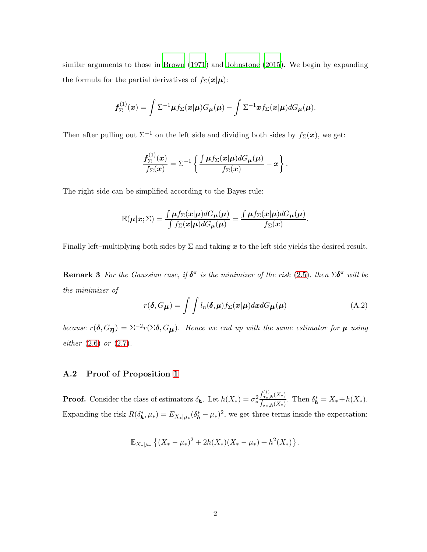similar arguments to those in [Brown \(1971](#page-28-9)) and [Johnstone \(2015](#page-30-10)). We begin by expanding the formula for the partial derivatives of  $f_{\Sigma}(\boldsymbol{x}|\boldsymbol{\mu})$ :

$$
\boldsymbol{f}_{\Sigma}^{(1)}(\boldsymbol{x})=\int \Sigma^{-1}\boldsymbol{\mu} f_{\Sigma}(\boldsymbol{x}|\boldsymbol{\mu})G_{\boldsymbol{\mu}}(\boldsymbol{\mu})-\int \Sigma^{-1}\boldsymbol{x} f_{\Sigma}(\boldsymbol{x}|\boldsymbol{\mu})dG_{\boldsymbol{\mu}}(\boldsymbol{\mu}).
$$

Then after pulling out  $\Sigma^{-1}$  on the left side and dividing both sides by  $f_{\Sigma}(\boldsymbol{x})$ , we get:

$$
\frac{f_{\Sigma}^{(1)}(x)}{f_{\Sigma}(x)} = \Sigma^{-1} \left\{ \frac{\int \mu f_{\Sigma}(x|\mu) dG_{\mu}(\mu)}{f_{\Sigma}(x)} - x \right\}.
$$

The right side can be simplified according to the Bayes rule:

$$
\mathbb{E}(\mu|\mathbf{x};\Sigma) = \frac{\int \mu f_{\Sigma}(\mathbf{x}|\mu) dG_{\mu}(\mu)}{\int f_{\Sigma}(\mathbf{x}|\mu) dG_{\mu}(\mu)} = \frac{\int \mu f_{\Sigma}(\mathbf{x}|\mu) dG_{\mu}(\mu)}{f_{\Sigma}(\mathbf{x})}.
$$

Finally left–multiplying both sides by  $\Sigma$  and taking x to the left side yields the desired result.

**Remark 3** For the Gaussian case, if  $\delta^{\pi}$  is the minimizer of the risk [\(2.5\)](#page-6-2), then  $\Sigma \delta^{\pi}$  will be *the minimizer of*

$$
r(\boldsymbol{\delta}, G_{\boldsymbol{\mu}}) = \int \int l_n(\boldsymbol{\delta}, \boldsymbol{\mu}) f_{\Sigma}(\boldsymbol{x}|\boldsymbol{\mu}) d\boldsymbol{x} dG_{\boldsymbol{\mu}}(\boldsymbol{\mu})
$$
(A.2)

*because*  $r(\delta, G_{\eta}) = \Sigma^{-2} r(\Sigma \delta, G_{\mu})$ . Hence we end up with the same estimator for  $\mu$  *using either* [\(2.6\)](#page-7-3) *or* [\(2.7\)](#page-7-2)*.*

#### A.2 Proof of Proposition [1](#page-12-2)

**Proof.** Consider the class of estimators  $\delta_{h}$ . Let  $h(X_*) = \sigma_*^2$ ∗  $\widehat f_{\sigma*,\boldsymbol h}^{(1)}(X_*)$  $\frac{\delta \sigma_{*,\mathbf{h}}(X_*)}{\int_{\sigma_{*,\mathbf{h}}}(X_*)}$ . Then  $\delta_{\mathbf{h}}^* = X_* + h(X_*)$ . Expanding the risk  $R(\delta_{\mathbf{h}}^*, \mu_*) = E_{X_*|\mu_*}(\delta_{\mathbf{h}}^* - \mu_*)^2$ , we get three terms inside the expectation:

$$
\mathbb{E}_{X_*|\mu_*}\left\{(X_*-\mu_*)^2+2h(X_*)(X_*-\mu_*)+h^2(X_*)\right\}.
$$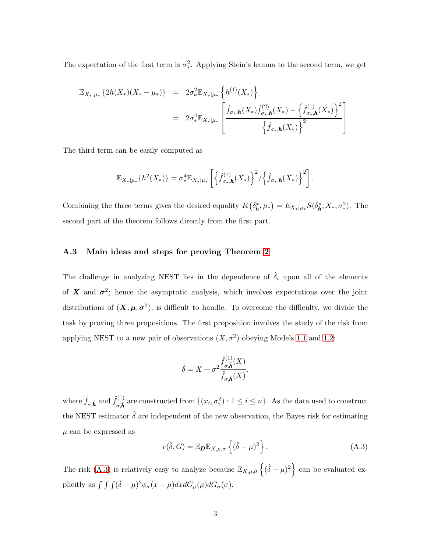The expectation of the first term is  $\sigma_*^2$ ∗ . Applying Stein's lemma to the second term, we get

$$
\mathbb{E}_{X_*|\mu_*} \left\{ 2h(X_*)(X_* - \mu_*) \right\} = 2\sigma_*^2 \mathbb{E}_{X_*|\mu_*} \left\{ h^{(1)}(X_*) \right\} \n= 2\sigma_*^4 \mathbb{E}_{X_*|\mu_*} \left[ \frac{\hat{f}_{\sigma_*,\boldsymbol{h}}(X_*) \hat{f}_{\sigma_*,\boldsymbol{h}}^{(2)}(X_*) - \left\{ \hat{f}_{\sigma_*,\boldsymbol{h}}^{(1)}(X_*) \right\}^2}{\left\{ \hat{f}_{\sigma_*,\boldsymbol{h}}(X_*) \right\}^2} \right].
$$

The third term can be easily computed as

$$
\mathbb{E}_{X_*|\mu_*}\{h^2(X_*)\} = \sigma_*^4 \mathbb{E}_{X_*|\mu_*}\left[\left\{\hat{f}_{\sigma_*,\boldsymbol{h}}^{(1)}(X_*)\right\}^2/\left\{\hat{f}_{\sigma_*,\boldsymbol{h}}(X_*)\right\}^2\right].
$$

Combining the three terms gives the desired equality  $R(\delta_{h}^{*}, \mu_{*}) = E_{X_{*}|\mu_{*}} S(\delta_{h}^{*}; X_{*}, \sigma_{*}^{2})$ . The second part of the theorem follows directly from the first part.

#### A.3 Main ideas and steps for proving Theorem [2](#page-15-1)

The challenge in analyzing NEST lies in the dependence of  $\hat{\delta}_i$  upon all of the elements of X and  $\sigma^2$ ; hence the asymptotic analysis, which involves expectations over the joint distributions of  $(X, \mu, \sigma^2)$ , is difficult to handle. To overcome the difficulty, we divide the task by proving three propositions. The first proposition involves the study of the risk from applying NEST to a new pair of observations  $(X, \sigma^2)$  obeying Models [1.1](#page-3-0) and [1.2:](#page-3-1)

$$
\hat{\delta} = X + \sigma^2 \frac{\hat{f}_{\sigma,\hat{\mathbf{h}}}^{(1)}(X)}{\hat{f}_{\sigma,\hat{\mathbf{h}}}(X)},
$$

where  $\hat{f}_{\sigma,\hat{\boldsymbol{h}}}$  and  $\hat{f}_{\sigma,\hat{\boldsymbol{h}}}^{(1)}$ <sup>(1)</sup><sub> $\sigma, \hat{h}$ </sub> are constructed from  $\{(x_i, \sigma_i^2) : 1 \leq i \leq n\}$ . As the data used to construct the NEST estimator  $\hat{\delta}$  are independent of the new observation, the Bayes risk for estimating  $\mu$  can be expressed as

<span id="page-35-0"></span>
$$
r(\hat{\delta}, G) = \mathbb{E}_{\mathbf{D}} \mathbb{E}_{X, \mu, \sigma} \left\{ (\hat{\delta} - \mu)^2 \right\}.
$$
 (A.3)

The risk [\(A.3\)](#page-35-0) is relatively easy to analyze because  $\mathbb{E}_{X,\mu,\sigma}\left\{(\hat{\delta}-\mu)^2\right\}$  can be evaluated explicitly as  $\int \int (\hat{\delta} - \mu)^2 \phi_{\sigma}(x - \mu) dx dG_{\mu}(\mu) dG_{\sigma}(\sigma)$ .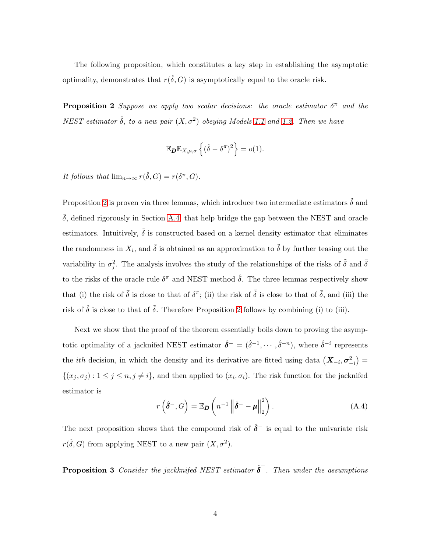The following proposition, which constitutes a key step in establishing the asymptotic optimality, demonstrates that  $r(\hat{\delta}, G)$  is asymptotically equal to the oracle risk.

**Proposition 2** Suppose we apply two scalar decisions: the oracle estimator  $\delta^{\pi}$  and the  $NEST$  *estimator*  $\hat{\delta}$ *, to a new pair*  $(X, \sigma^2)$  *obeying Models* [1.1](#page-3-0) *and* [1.2.](#page-3-1) *Then we have* 

<span id="page-36-0"></span>
$$
\mathbb{E}_{\boldsymbol{D}} \mathbb{E}_{X,\mu,\sigma} \left\{ (\hat{\delta} - \delta^{\pi})^2 \right\} = o(1).
$$

It follows that  $\lim_{n\to\infty} r(\hat{\delta}, G) = r(\delta^{\pi}, G)$ .

Proposition [2](#page-36-0) is proven via three lemmas, which introduce two intermediate estimators  $\tilde{\delta}$  and  $\delta$ , defined rigorously in Section [A.4,](#page-37-0) that help bridge the gap between the NEST and oracle estimators. Intuitively,  $\delta$  is constructed based on a kernel density estimator that eliminates the randomness in  $X_i$ , and  $\bar{\delta}$  is obtained as an approximation to  $\tilde{\delta}$  by further teasing out the variability in  $\sigma_j^2$ . The analysis involves the study of the relationships of the risks of  $\tilde{\delta}$  and  $\bar{\delta}$ to the risks of the oracle rule  $\delta^{\pi}$  and NEST method  $\hat{\delta}$ . The three lemmas respectively show that (i) the risk of  $\bar{\delta}$  is close to that of  $\delta^{\pi}$ ; (ii) the risk of  $\tilde{\delta}$  is close to that of  $\bar{\delta}$ , and (iii) the risk of  $\hat{\delta}$  is close to that of  $\tilde{\delta}$ . Therefore Proposition [2](#page-36-0) follows by combining (i) to (iii).

Next we show that the proof of the theorem essentially boils down to proving the asymptotic optimality of a jacknifed NEST estimator  $\hat{\delta}^- = (\hat{\delta}^{-1}, \cdots, \hat{\delta}^{-n})$ , where  $\hat{\delta}^{-i}$  represents the *ith* decision, in which the density and its derivative are fitted using data  $(X_{-i}, \sigma^2_{-i}) =$  $\{(x_j, \sigma_j) : 1 \leq j \leq n, j \neq i\}$ , and then applied to  $(x_i, \sigma_i)$ . The risk function for the jacknifed estimator is

<span id="page-36-1"></span>
$$
r\left(\hat{\boldsymbol{\delta}}^{-},G\right) = \mathbb{E}_{\boldsymbol{D}}\left(n^{-1}\left\|\hat{\boldsymbol{\delta}}^{-}-\boldsymbol{\mu}\right\|_{2}^{2}\right).
$$
 (A.4)

The next proposition shows that the compound risk of  $\hat{\delta}^-$  is equal to the univariate risk  $r(\hat{\delta}, G)$  from applying NEST to a new pair  $(X, \sigma^2)$ .

**Proposition 3** Consider the jackknifed NEST estimator  $\hat{\boldsymbol{\delta}}^-$ . Then under the assumptions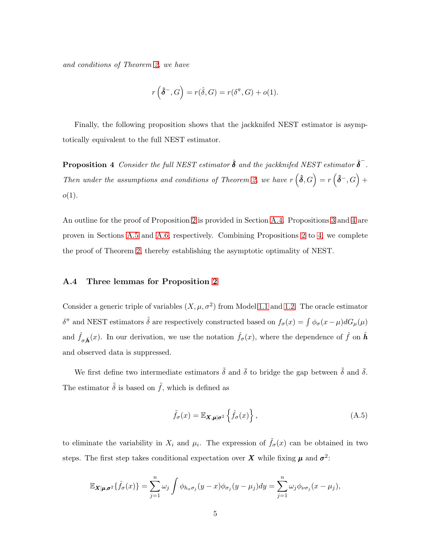*and conditions of Theorem [2,](#page-15-1) we have*

<span id="page-37-1"></span>
$$
r\left(\hat{\delta}^-,G\right) = r(\hat{\delta},G) = r(\delta^\pi,G) + o(1).
$$

Finally, the following proposition shows that the jackknifed NEST estimator is asymptotically equivalent to the full NEST estimator.

**Proposition 4** Consider the full NEST estimator  $\hat{\boldsymbol{\delta}}$  and the jackknifed NEST estimator  $\hat{\boldsymbol{\delta}}^-$ . *Then under the assumptions and conditions of Theorem [2,](#page-15-1) we have*  $r(\hat{\delta}, G) = r(\hat{\delta}^-, G) +$  $o(1)$ .

An outline for the proof of Proposition [2](#page-36-0) is provided in Section [A.4.](#page-37-0) Propositions [3](#page-36-1) and [4](#page-37-1) are proven in Sections [A.5](#page-39-0) and [A.6,](#page-40-0) respectively. Combining Propositions [2](#page-36-0) to [4,](#page-37-1) we complete the proof of Theorem [2,](#page-15-1) thereby establishing the asymptotic optimality of NEST.

#### <span id="page-37-0"></span>A.4 Three lemmas for Proposition [2](#page-36-0)

Consider a generic triple of variables  $(X, \mu, \sigma^2)$  from Model [1.1](#page-3-0) and [1.2.](#page-3-1) The oracle estimator  $\delta^{\pi}$  and NEST estimators  $\hat{\delta}$  are respectively constructed based on  $f_{\sigma}(x) = \int \phi_{\sigma}(x-\mu) dG_{\mu}(\mu)$ and  $\hat{f}_{\sigma,\hat{\bm{h}}}(x)$ . In our derivation, we use the notation  $\hat{f}_{\sigma}(x)$ , where the dependence of  $\hat{f}$  on  $\hat{\bm{h}}$ and observed data is suppressed.

We first define two intermediate estimators  $\tilde{\delta}$  and  $\bar{\delta}$  to bridge the gap between  $\tilde{\delta}$  and  $\bar{\delta}$ . The estimator  $\tilde{\delta}$  is based on  $\tilde{f}$ , which is defined as

<span id="page-37-2"></span>
$$
\tilde{f}_{\sigma}(x) = \mathbb{E}_{\mathbf{X}, \boldsymbol{\mu} | \sigma^2} \left\{ \hat{f}_{\sigma}(x) \right\},\tag{A.5}
$$

to eliminate the variability in  $X_i$  and  $\mu_i$ . The expression of  $\tilde{f}_{\sigma}(x)$  can be obtained in two steps. The first step takes conditional expectation over X while fixing  $\mu$  and  $\sigma^2$ :

$$
\mathbb{E}_{\mathbf{X}|\boldsymbol{\mu},\boldsymbol{\sigma}^2}\{\hat{f}_{\sigma}(x)\}=\sum_{j=1}^n\omega_j\int\phi_{h_x\sigma_j}(y-x)\phi_{\sigma_j}(y-\mu_j)dy=\sum_{j=1}^n\omega_j\phi_{\nu\sigma_j}(x-\mu_j),
$$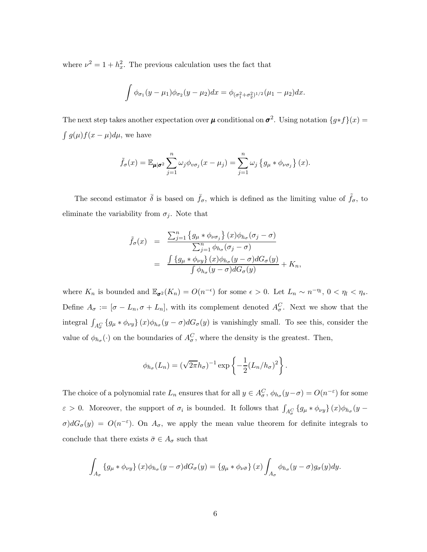where  $\nu^2 = 1 + h_x^2$ . The previous calculation uses the fact that

$$
\int \phi_{\sigma_1}(y-\mu_1)\phi_{\sigma_2}(y-\mu_2)dx = \phi_{(\sigma_1^2+\sigma_2^2)^{1/2}}(\mu_1-\mu_2)dx.
$$

The next step takes another expectation over  $\mu$  conditional on  $\sigma^2$ . Using notation  $\{g * f\}(x) =$  $\int g(\mu)f(x-\mu)d\mu$ , we have

$$
\tilde{f}_{\sigma}(x) = \mathbb{E}_{\mu|\sigma^2} \sum_{j=1}^n \omega_j \phi_{v\sigma_j}(x - \mu_j) = \sum_{j=1}^n \omega_j \left\{ g_{\mu} * \phi_{v\sigma_j} \right\}(x).
$$

The second estimator  $\bar{\delta}$  is based on  $\bar{f}_{\sigma}$ , which is defined as the limiting value of  $\tilde{f}_{\sigma}$ , to eliminate the variability from  $\sigma_j$ . Note that

$$
\tilde{f}_{\sigma}(x) = \frac{\sum_{j=1}^{n} \{g_{\mu} * \phi_{\nu\sigma_{j}}\} (x) \phi_{h_{\sigma}}(\sigma_{j} - \sigma)}{\sum_{j=1}^{n} \phi_{h_{\sigma}}(\sigma_{j} - \sigma)} \n= \frac{\int \{g_{\mu} * \phi_{\nu y}\} (x) \phi_{h_{\sigma}}(y - \sigma) dG_{\sigma}(y)}{\int \phi_{h_{\sigma}}(y - \sigma) dG_{\sigma}(y)} + K_{n},
$$

where  $K_n$  is bounded and  $\mathbb{E}_{\sigma^2}(K_n) = O(n^{-\epsilon})$  for some  $\epsilon > 0$ . Let  $L_n \sim n^{-\eta}$ ,  $0 < \eta_l < \eta_s$ . Define  $A_{\sigma} := [\sigma - L_n, \sigma + L_n]$ , with its complement denoted  $A_{\sigma}^C$ . Next we show that the integral  $\int_{A_{\sigma}^C} {\{g_\mu * \phi_{\nu y}\}} (x) \phi_{h_\sigma}(y - \sigma) dG_\sigma(y)$  is vanishingly small. To see this, consider the value of  $\phi_{h_{\sigma}}(\cdot)$  on the boundaries of  $A_{\sigma}^C$ , where the density is the greatest. Then,

$$
\phi_{h_{\sigma}}(L_n) = (\sqrt{2\pi}h_{\sigma})^{-1} \exp\left\{-\frac{1}{2}(L_n/h_{\sigma})^2\right\}.
$$

The choice of a polynomial rate  $L_n$  ensures that for all  $y \in A_{\sigma}^C$ ,  $\phi_{h_{\sigma}}(y - \sigma) = O(n^{-\epsilon})$  for some  $\varepsilon > 0$ . Moreover, the support of  $\sigma_i$  is bounded. It follows that  $\int_{A_{\sigma}^C} {\{g_{\mu} * \phi_{\nu y}\}} (x) \phi_{h_{\sigma}} (y \sigma$ )d $G_{\sigma}(y) = O(n^{-\epsilon})$ . On  $A_{\sigma}$ , we apply the mean value theorem for definite integrals to conclude that there exists  $\bar{\sigma} \in A_{\sigma}$  such that

$$
\int_{A_{\sigma}} \left\{ g_{\mu} * \phi_{\nu y} \right\} (x) \phi_{h_{\sigma}} (y - \sigma) dG_{\sigma} (y) = \left\{ g_{\mu} * \phi_{\nu \bar{\sigma}} \right\} (x) \int_{A_{\sigma}} \phi_{h_{\sigma}} (y - \sigma) g_{\sigma} (y) dy.
$$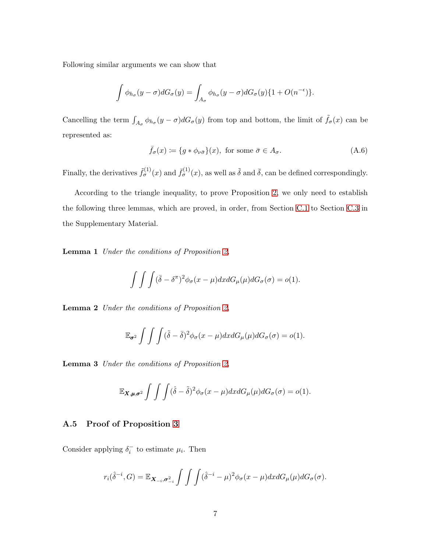Following similar arguments we can show that

$$
\int \phi_{h_{\sigma}}(y-\sigma)dG_{\sigma}(y) = \int_{A_{\sigma}} \phi_{h_{\sigma}}(y-\sigma)dG_{\sigma}(y)\{1+O(n^{-\epsilon})\}.
$$

Cancelling the term  $\int_{A_{\sigma}} \phi_{h_{\sigma}}(y - \sigma) dG_{\sigma}(y)$  from top and bottom, the limit of  $\tilde{f}_{\sigma}(x)$  can be represented as:

$$
\bar{f}_{\sigma}(x) \coloneqq \{g * \phi_{\nu\bar{\sigma}}\}(x), \text{ for some } \bar{\sigma} \in A_{\sigma}.
$$
\n(A.6)

Finally, the derivatives  $\tilde{f}_{\sigma}^{(1)}(x)$  and  $\bar{f}_{\sigma}^{(1)}(x)$ , as well as  $\tilde{\delta}$  and  $\bar{\delta}$ , can be defined correspondingly.

<span id="page-39-1"></span>According to the triangle inequality, to prove Proposition [2,](#page-36-0) we only need to establish the following three lemmas, which are proved, in order, from Section [C.1](#page-45-1) to Section [C.3](#page-50-0) in the Supplementary Material.

Lemma 1 *Under the conditions of Proposition [2,](#page-36-0)*

$$
\int \int \int (\bar{\delta} - \delta^{\pi})^2 \phi_{\sigma}(x - \mu) dx dG_{\mu}(\mu) dG_{\sigma}(\sigma) = o(1).
$$

<span id="page-39-2"></span>Lemma 2 *Under the conditions of Proposition [2,](#page-36-0)*

$$
\mathbb{E}_{\sigma^2} \int \int \int (\tilde{\delta} - \bar{\delta})^2 \phi_{\sigma}(x - \mu) dx dG_{\mu}(\mu) dG_{\sigma}(\sigma) = o(1).
$$

<span id="page-39-3"></span>Lemma 3 *Under the conditions of Proposition [2,](#page-36-0)*

$$
\mathbb{E}_{\mathbf{X},\boldsymbol{\mu},\boldsymbol{\sigma}^2}\int\int\int (\hat{\delta}-\tilde{\delta})^2\phi_{\sigma}(x-\mu)dxdG_{\mu}(\mu)dG_{\sigma}(\sigma)=o(1).
$$

#### <span id="page-39-0"></span>A.5 Proof of Proposition [3](#page-36-1)

Consider applying  $\delta_i^-$  to estimate  $\mu_i$ . Then

$$
r_i(\hat{\delta}^{-i}, G) = \mathbb{E}_{\mathbf{X}_{-i}, \sigma_{-i}^2} \int \int \int (\hat{\delta}^{-i} - \mu)^2 \phi_{\sigma}(x - \mu) dx dG_{\mu}(\mu) dG_{\sigma}(\sigma).
$$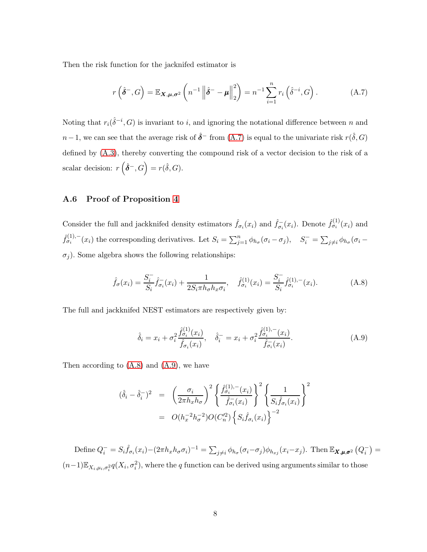Then the risk function for the jacknifed estimator is

<span id="page-40-1"></span>
$$
r\left(\hat{\delta}^-,G\right) = \mathbb{E}_{\mathbf{X},\boldsymbol{\mu},\boldsymbol{\sigma}^2}\left(n^{-1}\left\|\hat{\delta}^-\boldsymbol{\mu}\right\|_2^2\right) = n^{-1}\sum_{i=1}^n r_i\left(\hat{\delta}^{-i},G\right). \tag{A.7}
$$

Noting that  $r_i(\hat{\delta}^{-i}, G)$  is invariant to i, and ignoring the notational difference between n and n−1, we can see that the average risk of  $\hat{\delta}^-$  from [\(A.7\)](#page-40-1) is equal to the univariate risk  $r(\hat{\delta}, G)$ defined by [\(A.3\)](#page-35-0), thereby converting the compound risk of a vector decision to the risk of a scalar decision:  $r\left(\hat{\delta}^-, G\right) = r(\hat{\delta}, G)$ .

#### <span id="page-40-0"></span>A.6 Proof of Proposition [4](#page-37-1)

Consider the full and jackknifed density estimators  $\hat{f}_{\sigma_i}(x_i)$  and  $\hat{f}_{\sigma_i}^-(x_i)$ . Denote  $\hat{f}_{\sigma_i}^{(1)}(x_i)$  and  $\hat{f}_{\sigma_i}^{(1),-}(x_i)$  the corresponding derivatives. Let  $S_i = \sum_{j=1}^n \phi_{h_\sigma}(\sigma_i - \sigma_j)$ ,  $S_i^- = \sum_{j\neq i} \phi_{h_\sigma}(\sigma_i - \sigma_j)$  $\sigma_i$ ). Some algebra shows the following relationships:

<span id="page-40-2"></span>
$$
\hat{f}_{\sigma}(x_i) = \frac{S_i^-}{S_i} \hat{f}_{\sigma_i}^-(x_i) + \frac{1}{2S_i \pi h_{\sigma} h_x \sigma_i}, \quad \hat{f}_{\sigma_i}^{(1)}(x_i) = \frac{S_i^-}{S_i} \hat{f}_{\sigma_i}^{(1),-}(x_i). \tag{A.8}
$$

The full and jackknifed NEST estimators are respectively given by:

<span id="page-40-3"></span>
$$
\hat{\delta}_i = x_i + \sigma_i^2 \frac{\hat{f}_{\sigma_i}^{(1)}(x_i)}{\hat{f}_{\sigma_i}(x_i)}, \quad \hat{\delta}_i^- = x_i + \sigma_i^2 \frac{\hat{f}_{\sigma_i}^{(1), -}(x_i)}{\hat{f}_{\sigma_i}^{-}(x_i)}.
$$
\n(A.9)

Then according to [\(A.8\)](#page-40-2) and [\(A.9\)](#page-40-3), we have

$$
(\hat{\delta}_i - \hat{\delta}_i^-)^2 = \left(\frac{\sigma_i}{2\pi h_x h_\sigma}\right)^2 \left\{ \frac{\hat{f}_{\sigma_i}^{(1), -}(x_i)}{\hat{f}_{\sigma_i}^{(1)}} \right\}^2 \left\{ \frac{1}{S_i \hat{f}_{\sigma_i} (x_i)} \right\}^2
$$

$$
= O(h_x^{-2} h_\sigma^{-2}) O(C_n'^2) \left\{ S_i \hat{f}_{\sigma_i} (x_i) \right\}^{-2}
$$

Define  $Q_i^- = S_i \hat{f}_{\sigma_i}(x_i) - (2\pi h_x h_\sigma \sigma_i)^{-1} = \sum_{j\neq i} \phi_{h_\sigma}(\sigma_i - \sigma_j) \phi_{h_{xj}}(x_i - x_j)$ . Then  $\mathbb{E}_{\mathbf{X}, \boldsymbol{\mu}, \boldsymbol{\sigma}^2} (Q_i^-) =$  $(n-1)\mathbb{E}_{X_i,\mu_i,\sigma_i^2}q(X_i,\sigma_i^2)$ , where the q function can be derived using arguments similar to those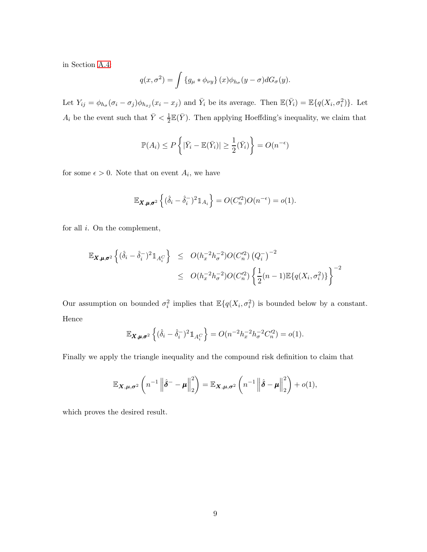in Section [A.4:](#page-37-0)

$$
q(x, \sigma^2) = \int \{g_\mu * \phi_{\nu y}\} (x) \phi_{h_\sigma} (y - \sigma) dG_\sigma (y).
$$

Let  $Y_{ij} = \phi_{h_{\sigma}}(\sigma_i - \sigma_j)\phi_{h_{xj}}(x_i - x_j)$  and  $\bar{Y}_i$  be its average. Then  $\mathbb{E}(\bar{Y}_i) = \mathbb{E}\{q(X_i, \sigma_i^2)\}\.$  Let  $A_i$  be the event such that  $\bar{Y} < \frac{1}{2} \mathbb{E}(\bar{Y})$ . Then applying Hoeffding's inequality, we claim that

$$
\mathbb{P}(A_i) \le P\left\{ |\bar{Y}_i - \mathbb{E}(\bar{Y}_i)| \ge \frac{1}{2}(\bar{Y}_i) \right\} = O(n^{-\epsilon})
$$

for some  $\epsilon > 0$ . Note that on event  $A_i$ , we have

$$
\mathbb{E}_{\mathbf{X},\boldsymbol{\mu},\boldsymbol{\sigma}^2}\left\{(\hat{\delta}_i-\hat{\delta}_i^{-})^2\mathbb{1}_{A_i}\right\}=O(C_n'^2)O(n^{-\epsilon})=o(1).
$$

for all i. On the complement,

$$
\mathbb{E}_{\mathbf{X}, \mu, \sigma^2} \left\{ (\hat{\delta}_i - \hat{\delta}_i^{-})^2 \mathbb{1}_{A_i^C} \right\} \le O(h_x^{-2} h_{\sigma}^{-2}) O(C_n'^2) (Q_i^{-})^{-2}
$$
  

$$
\le O(h_x^{-2} h_{\sigma}^{-2}) O(C_n'^2) \left\{ \frac{1}{2} (n-1) \mathbb{E} \{ q(X_i, \sigma_i^2) \} \right\}^{-2}
$$

Our assumption on bounded  $\sigma_i^2$  implies that  $\mathbb{E}\{q(X_i,\sigma_i^2)\}\$ is bounded below by a constant. Hence

$$
\mathbb{E}_{\mathbf{X},\mu,\sigma^2} \left\{ (\hat{\delta}_i - \hat{\delta}_i^{-})^2 \mathbb{1}_{A_i^C} \right\} = O(n^{-2}h_x^{-2}h_{\sigma}^{-2}C_n'^2) = o(1).
$$

Finally we apply the triangle inequality and the compound risk definition to claim that

$$
\mathbb{E}_{\mathbf{X},\boldsymbol{\mu},\boldsymbol{\sigma}^2}\left(n^{-1}\left\|\hat{\boldsymbol{\delta}}^-\boldsymbol{-\mu}\right\|_2^2\right) = \mathbb{E}_{\mathbf{X},\boldsymbol{\mu},\boldsymbol{\sigma}^2}\left(n^{-1}\left\|\hat{\boldsymbol{\delta}}-\boldsymbol{\mu}\right\|_2^2\right) + o(1),
$$

which proves the desired result.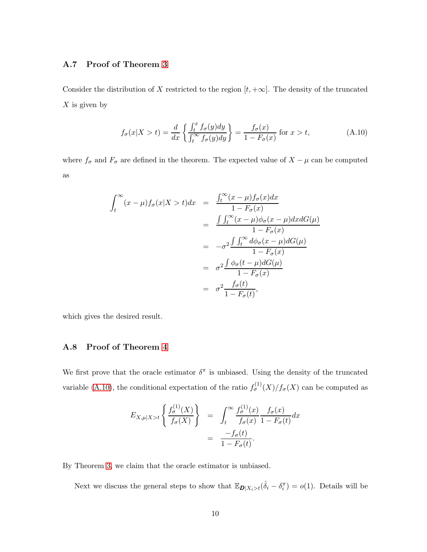#### A.7 Proof of Theorem [3](#page-16-3)

Consider the distribution of X restricted to the region  $[t, +\infty]$ . The density of the truncated  $X$  is given by

<span id="page-42-1"></span>
$$
f_{\sigma}(x|X > t) = \frac{d}{dx} \left\{ \frac{\int_t^x f_{\sigma}(y) dy}{\int_t^{\infty} f_{\sigma}(y) dy} \right\} = \frac{f_{\sigma}(x)}{1 - F_{\sigma}(x)} \text{ for } x > t,
$$
 (A.10)

where  $f_{\sigma}$  and  $F_{\sigma}$  are defined in the theorem. The expected value of  $X - \mu$  can be computed as

$$
\int_{t}^{\infty} (x - \mu) f_{\sigma}(x | X > t) dx = \frac{\int_{t}^{\infty} (x - \mu) f_{\sigma}(x) dx}{1 - F_{\sigma}(x)}
$$

$$
= \frac{\int \int_{t}^{\infty} (x - \mu) \phi_{\sigma}(x - \mu) dx dG(\mu)}{1 - F_{\sigma}(x)}
$$

$$
= -\sigma^{2} \frac{\int \int_{t}^{\infty} d\phi_{\sigma}(x - \mu) dG(\mu)}{1 - F_{\sigma}(x)}
$$

$$
= \sigma^{2} \frac{\int \phi_{\sigma}(t - \mu) dG(\mu)}{1 - F_{\sigma}(x)}
$$

$$
= \sigma^{2} \frac{f_{\sigma}(t)}{1 - F_{\sigma}(t)},
$$

<span id="page-42-0"></span>which gives the desired result.

#### A.8 Proof of Theorem [4](#page-16-4)

We first prove that the oracle estimator  $\delta^{\pi}$  is unbiased. Using the density of the truncated variable [\(A.10\)](#page-42-1), the conditional expectation of the ratio  $f_{\sigma}^{(1)}(X)/f_{\sigma}(X)$  can be computed as

$$
E_{X,\mu|X>t}\left\{\frac{f_{\sigma}^{(1)}(X)}{f_{\sigma}(X)}\right\} = \int_{t}^{\infty} \frac{f_{\sigma}^{(1)}(x)}{f_{\sigma}(x)} \frac{f_{\sigma}(x)}{1-F_{\sigma}(t)} dx
$$

$$
= \frac{-f_{\sigma}(t)}{1-F_{\sigma}(t)}.
$$

By Theorem [3,](#page-16-3) we claim that the oracle estimator is unbiased.

Next we discuss the general steps to show that  $\mathbb{E}_{\mathbf{D}|X_i>t}(\hat{\delta}_i - \delta_i^{\pi}) = o(1)$ . Details will be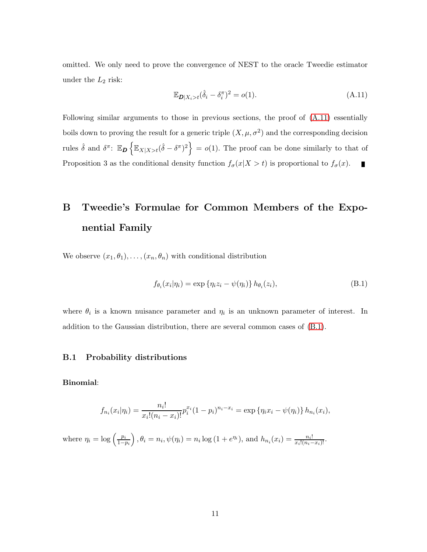omitted. We only need to prove the convergence of NEST to the oracle Tweedie estimator under the  $L_2$  risk:

<span id="page-43-1"></span>
$$
\mathbb{E}_{\mathbf{D}|X_i > t}(\hat{\delta}_i - \delta_i^{\pi})^2 = o(1). \tag{A.11}
$$

Following similar arguments to those in previous sections, the proof of [\(A.11\)](#page-43-1) essentially boils down to proving the result for a generic triple  $(X, \mu, \sigma^2)$  and the corresponding decision rules  $\hat{\delta}$  and  $\delta^{\pi}$ :  $\mathbb{E}_{\mathbf{D}}\left\{\mathbb{E}_{X|X>t}(\hat{\delta}-\delta^{\pi})^2\right\} = o(1)$ . The proof can be done similarly to that of Proposition 3 as the conditional density function  $f_{\sigma}(x|X > t)$  is proportional to  $f_{\sigma}(x)$ .  $\blacksquare$ 

# <span id="page-43-0"></span>B Tweedie's Formulae for Common Members of the Exponential Family

We observe  $(x_1, \theta_1), \ldots, (x_n, \theta_n)$  with conditional distribution

<span id="page-43-2"></span>
$$
f_{\theta_i}(x_i|\eta_i) = \exp\{\eta_i z_i - \psi(\eta_i)\} h_{\theta_i}(z_i),
$$
\n(B.1)

where  $\theta_i$  is a known nuisance parameter and  $\eta_i$  is an unknown parameter of interest. In addition to the Gaussian distribution, there are several common cases of [\(B.1\)](#page-43-2).

#### B.1 Probability distributions

#### Binomial:

$$
f_{n_i}(x_i|\eta_i) = \frac{n_i!}{x_i!(n_i - x_i)!}p_i^{x_i}(1 - p_i)^{n_i - x_i} = \exp \{\eta_i x_i - \psi(\eta_i)\}h_{n_i}(x_i),
$$

where  $\eta_i = \log \left( \frac{p_i}{1 - i} \right)$  $1-p_i$  $\bigg), \theta_i = n_i, \psi(\eta_i) = n_i \log (1 + e^{\eta_i}), \text{ and } h_{n_i}(x_i) = \frac{n_i!}{x_i!(n_i - x_i)!}.$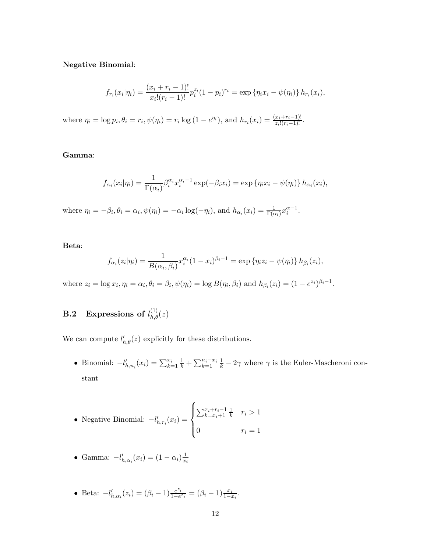Negative Binomial:

$$
f_{r_i}(x_i|\eta_i) = \frac{(x_i + r_i - 1)!}{x_i!(r_i - 1)!} p_i^{z_i} (1 - p_i)^{r_i} = \exp \{\eta_i x_i - \psi(\eta_i)\} h_{r_i}(x_i),
$$

where  $\eta_i = \log p_i, \theta_i = r_i, \psi(\eta_i) = r_i \log (1 - e^{\eta_i}),$  and  $h_{r_i}(x_i) = \frac{(x_i + r_i - 1)!}{z_i!(r_i - 1)!}.$ 

#### Gamma:

$$
f_{\alpha_i}(x_i|\eta_i) = \frac{1}{\Gamma(\alpha_i)} \beta_i^{\alpha_i} x_i^{\alpha_i - 1} \exp(-\beta_i x_i) = \exp \{ \eta_i x_i - \psi(\eta_i) \} h_{\alpha_i}(x_i),
$$

where  $\eta_i = -\beta_i$ ,  $\theta_i = \alpha_i$ ,  $\psi(\eta_i) = -\alpha_i \log(-\eta_i)$ , and  $h_{\alpha_i}(x_i) = \frac{1}{\Gamma(\alpha_i)} x_i^{\alpha-1}$ .

#### Beta:

$$
f_{\alpha_i}(z_i|\eta_i) = \frac{1}{B(\alpha_i, \beta_i)} x_i^{\alpha_i} (1 - x_i)^{\beta_i - 1} = \exp \{ \eta_i z_i - \psi(\eta_i) \} h_{\beta_i}(z_i),
$$

where  $z_i = \log x_i$ ,  $\eta_i = \alpha_i$ ,  $\theta_i = \beta_i$ ,  $\psi(\eta_i) = \log B(\eta_i, \beta_i)$  and  $h_{\beta_i}(z_i) = (1 - e^{z_i})^{\beta_i - 1}$ .

# **B.2** Expressions of  $l_{h,\theta}^{(1)}(z)$

We can compute  $l'_{h,\theta}(z)$  explicitly for these distributions.

• Binomial:  $-l'_{h,n_i}(x_i) = \sum_{k=1}^{x_i} \frac{1}{k} + \sum_{k=1}^{n_i-x_i} \frac{1}{k} - 2\gamma$  where  $\gamma$  is the Euler-Mascheroni constant

• Negative Binomial: 
$$
-l'_{h,r_i}(x_i) = \begin{cases} \sum_{k=x_i+1}^{x_i+r_i-1} \frac{1}{k} & r_i > 1 \\ 0 & r_i = 1 \end{cases}
$$

• Gamma: 
$$
-l'_{h,\alpha_i}(x_i) = (1 - \alpha_i) \frac{1}{x_i}
$$

• Beta:  $-l'_{h,\alpha_i}(z_i) = (\beta_i - 1) \frac{e^{z_i}}{1 - e^{z_i}}$  $\frac{e^{z_i}}{1-e^{z_i}} = (\beta_i - 1) \frac{x_i}{1-x_i}.$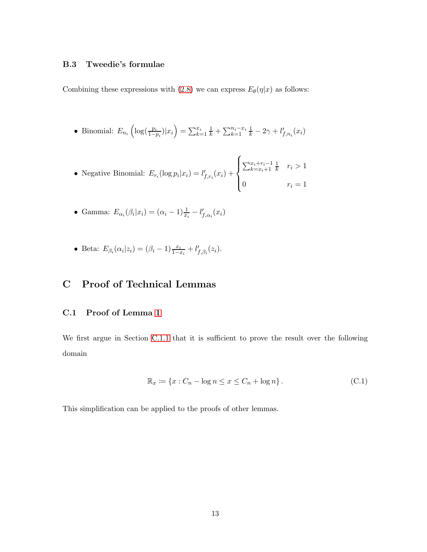#### B.3 Tweedie's formulae

Combining these expressions with [\(2.8\)](#page-7-4) we can express  $E_{\theta}(\eta|x)$  as follows:

• Binomial:  $E_{n_i} \left( \log(\frac{p_i}{1-p_i}) | x_i \right) = \sum_{k=1}^{x_i} \frac{1}{k} + \sum_{k=1}^{n_i - x_i} \frac{1}{k} - 2\gamma + l'_{f,n_i}(x_i)$ 

• Negative Binomial: 
$$
E_{r_i}(\log p_i|x_i) = l'_{f,r_i}(x_i) + \begin{cases} \sum_{k=x_i+1}^{x_i+r_i-1} \frac{1}{k} & r_i > 1 \\ 0 & r_i = 1 \end{cases}
$$

- Gamma:  $E_{\alpha_i}(\beta_i|x_i) = (\alpha_i 1)\frac{1}{x_i} l'_{f,\alpha_i}(x_i)$
- <span id="page-45-0"></span>• Beta:  $E_{\beta_i}(\alpha_i|z_i) = (\beta_i - 1) \frac{x_i}{1 - x_i} + l'_{f, \beta_i}(z_i)$ .

# <span id="page-45-1"></span>C Proof of Technical Lemmas

#### C.1 Proof of Lemma [1](#page-39-1)

We first argue in Section [C.1.1](#page-46-0) that it is sufficient to prove the result over the following domain

<span id="page-45-2"></span>
$$
\mathbb{R}_x := \{x : C_n - \log n \le x \le C_n + \log n\}.
$$
 (C.1)

This simplification can be applied to the proofs of other lemmas.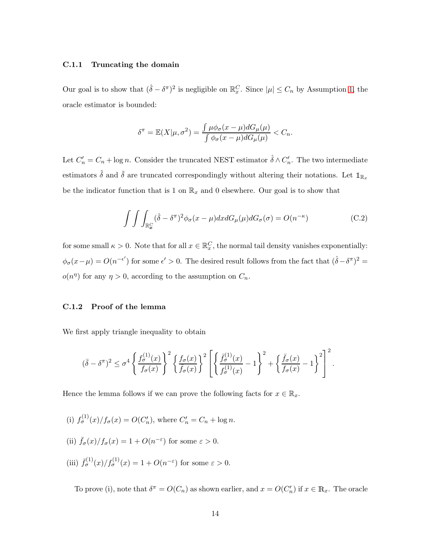#### <span id="page-46-0"></span>C.1.1 Truncating the domain

Our goal is to show that  $(\hat{\delta} - \delta^{\pi})^2$  is negligible on  $\mathbb{R}_x^C$ . Since  $|\mu| \leq C_n$  by Assumption [1,](#page-14-1) the oracle estimator is bounded:

$$
\delta^{\pi} = \mathbb{E}(X|\mu, \sigma^2) = \frac{\int \mu \phi_{\sigma}(x - \mu) dG_{\mu}(\mu)}{\int \phi_{\sigma}(x - \mu) dG_{\mu}(\mu)} < C_n.
$$

Let  $C'_n = C_n + \log n$ . Consider the truncated NEST estimator  $\hat{\delta} \wedge C'_n$ . The two intermediate estimators  $\tilde{\delta}$  and  $\bar{\delta}$  are truncated correspondingly without altering their notations. Let  $\mathbb{1}_{\mathbb{R}_x}$ be the indicator function that is 1 on  $\mathbb{R}_x$  and 0 elsewhere. Our goal is to show that

$$
\int \int \int_{\mathbb{R}_x^C} (\hat{\delta} - \delta^{\pi})^2 \phi_{\sigma}(x - \mu) dx dG_{\mu}(\mu) dG_{\sigma}(\sigma) = O(n^{-\kappa})
$$
\n(C.2)

for some small  $\kappa > 0$ . Note that for all  $x \in \mathbb{R}^C_x$ , the normal tail density vanishes exponentially:  $\phi_{\sigma}(x-\mu) = O(n^{-\epsilon'})$  for some  $\epsilon' > 0$ . The desired result follows from the fact that  $(\hat{\delta} - \delta^{\pi})^2 =$  $o(n^{\eta})$  for any  $\eta > 0$ , according to the assumption on  $C_n$ .

#### C.1.2 Proof of the lemma

We first apply triangle inequality to obtain

$$
(\bar{\delta}-\delta^{\pi})^2 \leq \sigma^4 \left\{ \frac{f_{\sigma}^{(1)}(x)}{f_{\sigma}(x)} \right\}^2 \left\{ \frac{f_{\sigma}(x)}{\bar{f}_{\sigma}(x)} \right\}^2 \left[ \left\{ \frac{\bar{f}_{\sigma}^{(1)}(x)}{f_{\sigma}^{(1)}(x)} - 1 \right\}^2 + \left\{ \frac{\bar{f}_{\sigma}(x)}{f_{\sigma}(x)} - 1 \right\}^2 \right]^2.
$$

Hence the lemma follows if we can prove the following facts for  $x \in \mathbb{R}_x$ .

- (i)  $f_{\sigma}^{(1)}(x)/f_{\sigma}(x) = O(C'_n)$ , where  $C'_n = C_n + \log n$ .
- (ii)  $\bar{f}_{\sigma}(x)/f_{\sigma}(x) = 1 + O(n^{-\epsilon})$  for some  $\epsilon > 0$ .
- (iii)  $\bar{f}_{\sigma}^{(1)}(x)/f_{\sigma}^{(1)}(x) = 1 + O(n^{-\varepsilon})$  for some  $\varepsilon > 0$ .

To prove (i), note that  $\delta^{\pi} = O(C_n)$  as shown earlier, and  $x = O(C'_n)$  if  $x \in \mathbb{R}_x$ . The oracle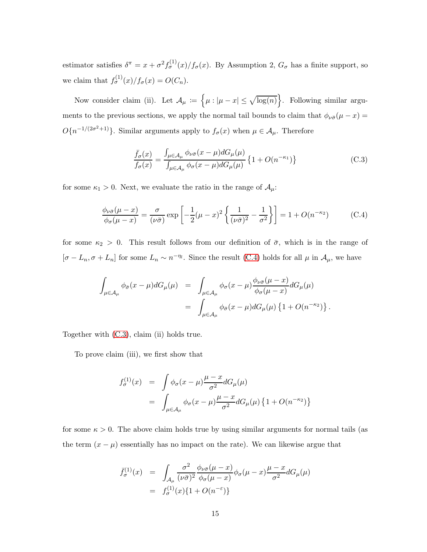estimator satisfies  $\delta^{\pi} = x + \sigma^2 f_{\sigma}^{(1)}(x) / f_{\sigma}(x)$ . By Assumption 2,  $G_{\sigma}$  has a finite support, so we claim that  $f_{\sigma}^{(1)}(x)/f_{\sigma}(x) = O(C_n)$ .

Now consider claim (ii). Let  $\mathcal{A}_{\mu} := \{ \mu : |\mu - x| \leq \sqrt{\log(n)} \}$ . Following similar arguments to the previous sections, we apply the normal tail bounds to claim that  $\phi_{\nu\bar{\sigma}}(\mu - x) =$  $O\{n^{-1/(2\sigma^2+1)}\}$ . Similar arguments apply to  $f_{\sigma}(x)$  when  $\mu \in \mathcal{A}_{\mu}$ . Therefore

<span id="page-47-1"></span>
$$
\frac{\bar{f}_{\sigma}(x)}{f_{\sigma}(x)} = \frac{\int_{\mu \in A_{\mu}} \phi_{\nu \bar{\sigma}}(x - \mu) dG_{\mu}(\mu)}{\int_{\mu \in A_{\mu}} \phi_{\sigma}(x - \mu) dG_{\mu}(\mu)} \left\{ 1 + O(n^{-\kappa_1}) \right\}
$$
(C.3)

for some  $\kappa_1 > 0$ . Next, we evaluate the ratio in the range of  $\mathcal{A}_{\mu}$ :

<span id="page-47-0"></span>
$$
\frac{\phi_{\nu\bar{\sigma}}(\mu-x)}{\phi_{\sigma}(\mu-x)} = \frac{\sigma}{(\nu\bar{\sigma})} \exp\left[-\frac{1}{2}(\mu-x)^2 \left\{\frac{1}{(\nu\bar{\sigma})^2} - \frac{1}{\sigma^2}\right\}\right] = 1 + O(n^{-\kappa_2})\tag{C.4}
$$

for some  $\kappa_2 > 0$ . This result follows from our definition of  $\bar{\sigma}$ , which is in the range of  $[\sigma - L_n, \sigma + L_n]$  for some  $L_n \sim n^{-\eta}$ . Since the result [\(C.4\)](#page-47-0) holds for all  $\mu$  in  $\mathcal{A}_{\mu}$ , we have

$$
\int_{\mu \in A_{\mu}} \phi_{\bar{\sigma}}(x - \mu) dG_{\mu}(\mu) = \int_{\mu \in A_{\mu}} \phi_{\sigma}(x - \mu) \frac{\phi_{\nu \bar{\sigma}}(\mu - x)}{\phi_{\sigma}(\mu - x)} dG_{\mu}(\mu)
$$

$$
= \int_{\mu \in A_{\mu}} \phi_{\bar{\sigma}}(x - \mu) dG_{\mu}(\mu) \{1 + O(n^{-\kappa_2})\}.
$$

Together with [\(C.3\)](#page-47-1), claim (ii) holds true.

To prove claim (iii), we first show that

$$
f_{\sigma}^{(1)}(x) = \int \phi_{\sigma}(x-\mu) \frac{\mu-x}{\sigma^2} dG_{\mu}(\mu)
$$
  
= 
$$
\int_{\mu \in A_{\mu}} \phi_{\sigma}(x-\mu) \frac{\mu-x}{\sigma^2} dG_{\mu}(\mu) \{1+O(n^{-\kappa_2})\}
$$

for some  $\kappa > 0$ . The above claim holds true by using similar arguments for normal tails (as the term  $(x - \mu)$  essentially has no impact on the rate). We can likewise argue that

$$
\bar{f}_{\sigma}^{(1)}(x) = \int_{\mathcal{A}_{\mu}} \frac{\sigma^2}{(\nu \bar{\sigma})^2} \frac{\phi_{\nu \bar{\sigma}}(\mu - x)}{\phi_{\sigma}(\mu - x)} \phi_{\sigma}(\mu - x) \frac{\mu - x}{\sigma^2} dG_{\mu}(\mu)
$$

$$
= f_{\sigma}^{(1)}(x) \{ 1 + O(n^{-\epsilon}) \}
$$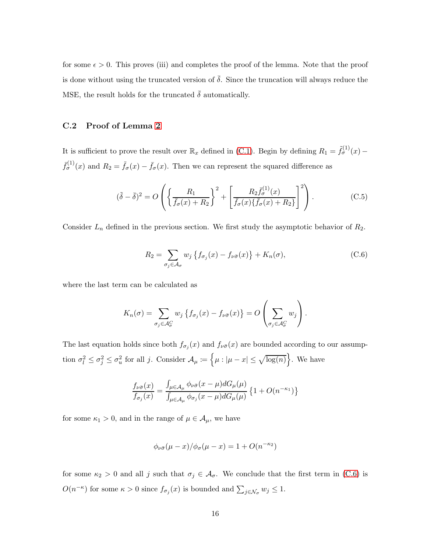for some  $\epsilon > 0$ . This proves (iii) and completes the proof of the lemma. Note that the proof is done without using the truncated version of  $\bar{\delta}$ . Since the truncation will always reduce the MSE, the result holds for the truncated  $\bar{\delta}$  automatically.

#### C.2 Proof of Lemma [2](#page-39-2)

It is sufficient to prove the result over  $\mathbb{R}_x$  defined in [\(C.1\)](#page-45-2). Begin by defining  $R_1 = \tilde{f}_{\sigma}^{(1)}(x)$  –  $\bar{f}_{\sigma}^{(1)}(x)$  and  $R_2 = \tilde{f}_{\sigma}(x) - \bar{f}_{\sigma}(x)$ . Then we can represent the squared difference as

<span id="page-48-1"></span>
$$
(\tilde{\delta} - \bar{\delta})^2 = O\left(\left\{\frac{R_1}{\bar{f}_{\sigma}(x) + R_2}\right\}^2 + \left[\frac{R_2 \bar{f}_{\sigma}^{(1)}(x)}{\bar{f}_{\sigma}(x)\{\bar{f}_{\sigma}(x) + R_2\}}\right]^2\right). \tag{C.5}
$$

Consider  $L_n$  defined in the previous section. We first study the asymptotic behavior of  $R_2$ .

<span id="page-48-0"></span>
$$
R_2 = \sum_{\sigma_j \in \mathcal{A}_{\sigma}} w_j \left\{ f_{\sigma_j}(x) - f_{\nu \bar{\sigma}}(x) \right\} + K_n(\sigma), \tag{C.6}
$$

where the last term can be calculated as

$$
K_n(\sigma) = \sum_{\sigma_j \in \mathcal{A}_{\sigma}^C} w_j \left\{ f_{\sigma_j}(x) - f_{\nu \bar{\sigma}}(x) \right\} = O\left(\sum_{\sigma_j \in \mathcal{A}_{\sigma}^C} w_j\right).
$$

The last equation holds since both  $f_{\sigma_j}(x)$  and  $f_{\nu\bar{\sigma}}(x)$  are bounded according to our assumption  $\sigma_l^2 \leq \sigma_j^2 \leq \sigma_u^2$  for all j. Consider  $\mathcal{A}_{\mu} := \{ \mu : |\mu - x| \leq \sqrt{\log(n)} \}$ . We have

$$
\frac{f_{\nu\bar{\sigma}}(x)}{f_{\sigma_j}(x)} = \frac{\int_{\mu \in A_{\mu}} \phi_{\nu\bar{\sigma}}(x - \mu) dG_{\mu}(\mu)}{\int_{\mu \in A_{\mu}} \phi_{\sigma_j}(x - \mu) dG_{\mu}(\mu)} \left\{ 1 + O(n^{-\kappa_1}) \right\}
$$

for some  $\kappa_1 > 0$ , and in the range of  $\mu \in A_{\mu}$ , we have

$$
\phi_{\nu\bar{\sigma}}(\mu-x)/\phi_{\sigma}(\mu-x) = 1 + O(n^{-\kappa_2})
$$

for some  $\kappa_2 > 0$  and all j such that  $\sigma_j \in \mathcal{A}_{\sigma}$ . We conclude that the first term in [\(C.6\)](#page-48-0) is  $O(n^{-\kappa})$  for some  $\kappa > 0$  since  $f_{\sigma_j}(x)$  is bounded and  $\sum_{j \in \mathcal{N}_{\sigma}} w_j \leq 1$ .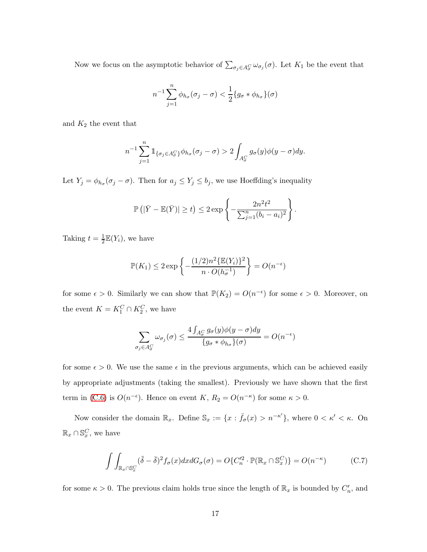Now we focus on the asymptotic behavior of  $\sum_{\sigma_j \in A_{\sigma}^C} \omega_{\sigma_j}(\sigma)$ . Let  $K_1$  be the event that

$$
n^{-1} \sum_{j=1}^{n} \phi_{h_{\sigma}}(\sigma_j - \sigma) < \frac{1}{2} \{ g_{\sigma} * \phi_{h_{\sigma}} \}(\sigma)
$$

and  $K_2$  the event that

$$
n^{-1} \sum_{j=1}^{n} \mathbb{1}_{\{\sigma_j \in A^C_{\sigma}\}} \phi_{h_{\sigma}}(\sigma_j - \sigma) > 2 \int_{A^C_{\sigma}} g_{\sigma}(y) \phi(y - \sigma) dy.
$$

Let  $Y_j = \phi_{h_\sigma}(\sigma_j - \sigma)$ . Then for  $a_j \le Y_j \le b_j$ , we use Hoeffding's inequality

$$
\mathbb{P}\left(|\bar{Y}-\mathbb{E}(\bar{Y})|\geq t\right)\leq 2\exp\left\{-\frac{2n^2t^2}{\sum_{j=1}^n(b_i-a_i)^2}\right\}.
$$

Taking  $t=\frac{1}{2}$  $\frac{1}{2}\mathbb{E}(Y_i)$ , we have

$$
\mathbb{P}(K_1) \le 2 \exp\left\{-\frac{(1/2)n^2 \{\mathbb{E}(Y_i)\}^2}{n \cdot O(h_\sigma^{-1})}\right\} = O(n^{-\epsilon})
$$

for some  $\epsilon > 0$ . Similarly we can show that  $\mathbb{P}(K_2) = O(n^{-\epsilon})$  for some  $\epsilon > 0$ . Moreover, on the event  $K = K_1^C \cap K_2^C$ , we have

$$
\sum_{\sigma_j \in A_{\sigma}^C} \omega_{\sigma_j}(\sigma) \le \frac{4 \int_{A_{\sigma}^C} g_{\sigma}(y) \phi(y - \sigma) dy}{\{g_{\sigma} * \phi_{h_{\sigma}}\}(\sigma)} = O(n^{-\epsilon})
$$

for some  $\epsilon > 0$ . We use the same  $\epsilon$  in the previous arguments, which can be achieved easily by appropriate adjustments (taking the smallest). Previously we have shown that the first term in [\(C.6\)](#page-48-0) is  $O(n^{-\epsilon})$ . Hence on event K,  $R_2 = O(n^{-\kappa})$  for some  $\kappa > 0$ .

Now consider the domain  $\mathbb{R}_x$ . Define  $\mathbb{S}_x := \{x : \bar{f}_{\sigma}(x) > n^{-\kappa'}\}$ , where  $0 < \kappa' < \kappa$ . On  $\mathbb{R}_x \cap \mathbb{S}_x^C$ , we have

<span id="page-49-0"></span>
$$
\int \int_{\mathbb{R}_x \cap \mathbb{S}_x^C} (\tilde{\delta} - \bar{\delta})^2 f_{\sigma}(x) dx dG_{\sigma}(\sigma) = O\{C_n'^2 \cdot \mathbb{P}(\mathbb{R}_x \cap \mathbb{S}_x^C)\} = O(n^{-\kappa})
$$
 (C.7)

for some  $\kappa > 0$ . The previous claim holds true since the length of  $\mathbb{R}_x$  is bounded by  $C'_n$ , and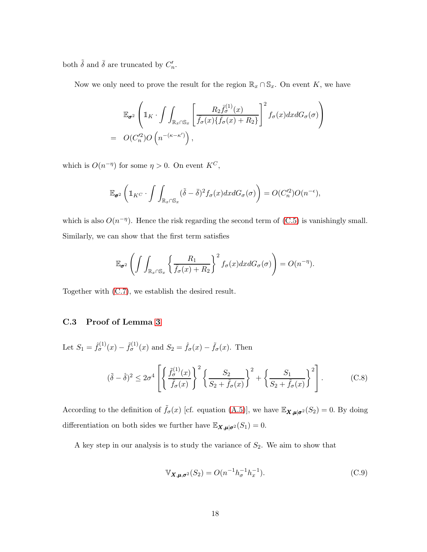both  $\tilde{\delta}$  and  $\bar{\delta}$  are truncated by  $C'_n$ .

Now we only need to prove the result for the region  $\mathbb{R}_x \cap \mathbb{S}_x$ . On event K, we have

$$
\mathbb{E}_{\sigma^2} \left( \mathbb{1}_K \cdot \int \int_{\mathbb{R}_x \cap \mathbb{S}_x} \left[ \frac{R_2 \bar{f}_{\sigma}^{(1)}(x)}{\bar{f}_{\sigma}(x) \{ \bar{f}_{\sigma}(x) + R_2 \}} \right]^2 f_{\sigma}(x) dx dG_{\sigma}(\sigma) \right)
$$
  
=  $O(C_n'^2) O\left(n^{-(\kappa - \kappa')}\right),$ 

which is  $O(n^{-\eta})$  for some  $\eta > 0$ . On event  $K^C$ ,

$$
\mathbb{E}_{\sigma^2}\left(\mathbb{1}_{K^C}\cdot\int\int_{\mathbb{R}_x\cap\mathbb{S}_x}(\tilde{\delta}-\bar{\delta})^2f_{\sigma}(x)dxdG_{\sigma}(\sigma)\right)=O(C_n'^2)O(n^{-\epsilon}),
$$

which is also  $O(n^{-\eta})$ . Hence the risk regarding the second term of  $(C.5)$  is vanishingly small. Similarly, we can show that the first term satisfies

$$
\mathbb{E}_{\sigma^2}\left(\int\int_{\mathbb{R}_x\cap\mathbb{S}_x}\left\{\frac{R_1}{\bar{f}_{\sigma}(x)+R_2}\right\}^2f_{\sigma}(x)dxdG_{\sigma}(\sigma)\right)=O(n^{-\eta}).
$$

<span id="page-50-0"></span>Together with [\(C.7\)](#page-49-0), we establish the desired result.

## C.3 Proof of Lemma [3](#page-39-3)

Let  $S_1 = \hat{f}_{\sigma}^{(1)}(x) - \tilde{f}_{\sigma}^{(1)}(x)$  and  $S_2 = \hat{f}_{\sigma}(x) - \tilde{f}_{\sigma}(x)$ . Then

<span id="page-50-1"></span>
$$
(\tilde{\delta} - \hat{\delta})^2 \le 2\sigma^4 \left[ \left\{ \frac{\tilde{f}_{\sigma}^{(1)}(x)}{\tilde{f}_{\sigma}(x)} \right\}^2 \left\{ \frac{S_2}{S_2 + \tilde{f}_{\sigma}(x)} \right\}^2 + \left\{ \frac{S_1}{S_2 + \tilde{f}_{\sigma}(x)} \right\}^2 \right].
$$
 (C.8)

According to the definition of  $\tilde{f}_{\sigma}(x)$  [cf. equation [\(A.5\)](#page-37-2)], we have  $\mathbb{E}_{\mathbf{X},\boldsymbol{\mu}|\sigma^2}(S_2) = 0$ . By doing differentiation on both sides we further have  $\mathbb{E}_{\mathbf{X},\boldsymbol{\mu}|\boldsymbol{\sigma}^2}(S_1)=0$ .

A key step in our analysis is to study the variance of  $S_2$ . We aim to show that

$$
\mathbb{V}_{\mathbf{X},\mu,\sigma^2}(S_2) = O(n^{-1}h_{\sigma}^{-1}h_x^{-1}).
$$
\n(C.9)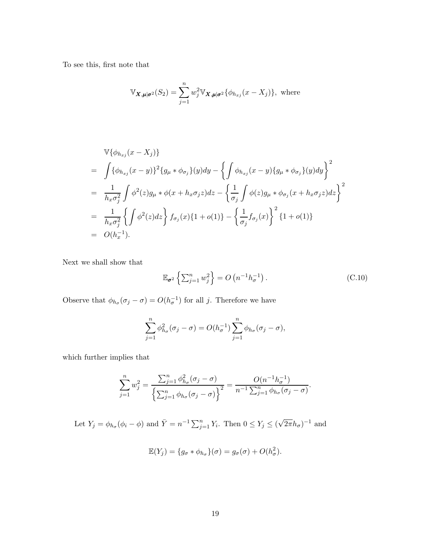To see this, first note that

$$
\mathbb{V}_{\mathbf{X},\boldsymbol{\mu}|\boldsymbol{\sigma}^2}(S_2) = \sum_{j=1}^n w_j^2 \mathbb{V}_{\mathbf{X},\boldsymbol{\mu}|\boldsymbol{\sigma}^2} \{\phi_{h_{xj}}(x - X_j)\}, \text{ where}
$$

$$
\begin{split}\n& \mathbb{V}\{\phi_{h_{xj}}(x - X_j)\} \\
&= \int \{\phi_{h_{xj}}(x - y)\}^2 \{g_{\mu} * \phi_{\sigma_j}\}(y) dy - \left\{ \int \phi_{h_{xj}}(x - y) \{g_{\mu} * \phi_{\sigma_j}\}(y) dy \right\}^2 \\
&= \frac{1}{h_x \sigma_j^2} \int \phi^2(z) g_{\mu} * \phi(x + h_x \sigma_j z) dz - \left\{ \frac{1}{\sigma_j} \int \phi(z) g_{\mu} * \phi_{\sigma_j}(x + h_x \sigma_j z) dz \right\}^2 \\
&= \frac{1}{h_x \sigma_j^2} \left\{ \int \phi^2(z) dz \right\} f_{\sigma_j}(x) \{1 + o(1)\} - \left\{ \frac{1}{\sigma_j} f_{\sigma_j}(x) \right\}^2 \{1 + o(1)\} \\
&= O(h_x^{-1}).\n\end{split}
$$

Next we shall show that

<span id="page-51-0"></span>
$$
\mathbb{E}_{\sigma^2} \left\{ \sum_{j=1}^n w_j^2 \right\} = O\left(n^{-1} h_{\sigma}^{-1}\right). \tag{C.10}
$$

Observe that  $\phi_{h_{\sigma}}(\sigma_j - \sigma) = O(h_{\sigma}^{-1})$  for all j. Therefore we have

$$
\sum_{j=1}^{n} \phi_{h_{\sigma}}^{2}(\sigma_{j}-\sigma) = O(h_{\sigma}^{-1}) \sum_{j=1}^{n} \phi_{h_{\sigma}}(\sigma_{j}-\sigma),
$$

which further implies that

$$
\sum_{j=1}^{n} w_j^2 = \frac{\sum_{j=1}^{n} \phi_{h_\sigma}^2 (\sigma_j - \sigma)}{\left\{ \sum_{j=1}^{n} \phi_{h_\sigma} (\sigma_j - \sigma) \right\}^2} = \frac{O(n^{-1} h_\sigma^{-1})}{n^{-1} \sum_{j=1}^{n} \phi_{h_\sigma} (\sigma_j - \sigma)}.
$$

Let  $Y_j = \phi_{h_\sigma}(\phi_i - \phi)$  and  $\bar{Y} = n^{-1} \sum_{j=1}^n Y_i$ . Then  $0 \le Y_j \le (\sqrt{2\pi}h_\sigma)^{-1}$  and

$$
\mathbb{E}(Y_j) = \{g_{\sigma} * \phi_{h_{\sigma}}\}(\sigma) = g_{\sigma}(\sigma) + O(h_{\sigma}^2).
$$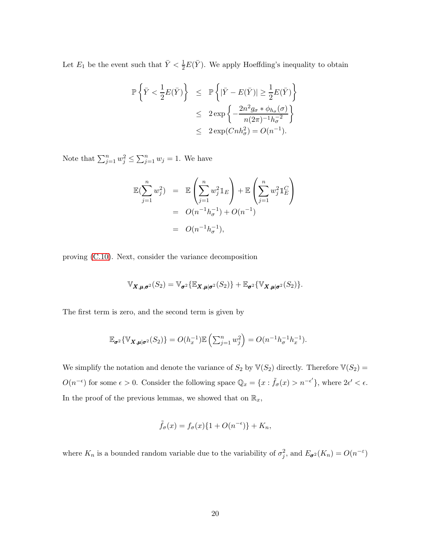Let  $E_1$  be the event such that  $\bar{Y} < \frac{1}{2}E(\bar{Y})$ . We apply Hoeffding's inequality to obtain

$$
\begin{array}{lcl} \mathbb{P}\left\{\bar{Y} < \frac{1}{2}E(\bar{Y})\right\} & \leq & \mathbb{P}\left\{|\bar{Y} - E(\bar{Y})| \geq \frac{1}{2}E(\bar{Y})\right\} \\ & \leq & 2\exp\left\{-\frac{2n^2g_{\sigma}*\phi_{h_{\sigma}}(\sigma)}{n(2\pi)^{-1}h_{\sigma}^{-2}}\right\} \\ & \leq & 2\exp(Chh_{\sigma}^2) = O(n^{-1}). \end{array}
$$

Note that  $\sum_{j=1}^n w_j^2 \le \sum_{j=1}^n w_j = 1$ . We have

$$
\mathbb{E}(\sum_{j=1}^{n} w_j^2) = \mathbb{E}\left(\sum_{j=1}^{n} w_j^2 \mathbb{1}_E\right) + \mathbb{E}\left(\sum_{j=1}^{n} w_j^2 \mathbb{1}_E^C\right)
$$
  
=  $O(n^{-1}h_\sigma^{-1}) + O(n^{-1})$   
=  $O(n^{-1}h_\sigma^{-1}),$ 

proving [\(C.10\)](#page-51-0). Next, consider the variance decomposition

$$
\mathbb{V}_{\mathbf{X},\boldsymbol{\mu},\boldsymbol{\sigma}^2}(S_2)=\mathbb{V}_{\boldsymbol{\sigma}^2}\{\mathbb{E}_{\mathbf{X},\boldsymbol{\mu}|\boldsymbol{\sigma}^2}(S_2)\}+\mathbb{E}_{\boldsymbol{\sigma}^2}\{\mathbb{V}_{\mathbf{X},\boldsymbol{\mu}|\boldsymbol{\sigma}^2}(S_2)\}.
$$

The first term is zero, and the second term is given by

$$
\mathbb{E}_{\sigma^2}\{\mathbb{V}_{\boldsymbol{X},\boldsymbol{\mu}|\sigma^2}(S_2)\} = O(h_x^{-1})\mathbb{E}\left(\sum_{j=1}^n w_j^2\right) = O(n^{-1}h_{\sigma}^{-1}h_x^{-1}).
$$

We simplify the notation and denote the variance of  $S_2$  by  $\mathbb{V}(S_2)$  directly. Therefore  $\mathbb{V}(S_2)$  =  $O(n^{-\epsilon})$  for some  $\epsilon > 0$ . Consider the following space  $\mathbb{Q}_x = \{x : \tilde{f}_\sigma(x) > n^{-\epsilon'}\}$ , where  $2\epsilon' < \epsilon$ . In the proof of the previous lemmas, we showed that on  $\mathbb{R}_x$ ,

$$
\tilde{f}_{\sigma}(x) = f_{\sigma}(x)\{1 + O(n^{-\epsilon})\} + K_n,
$$

where  $K_n$  is a bounded random variable due to the variability of  $\sigma_j^2$ , and  $E_{\sigma^2}(K_n) = O(n^{-\epsilon})$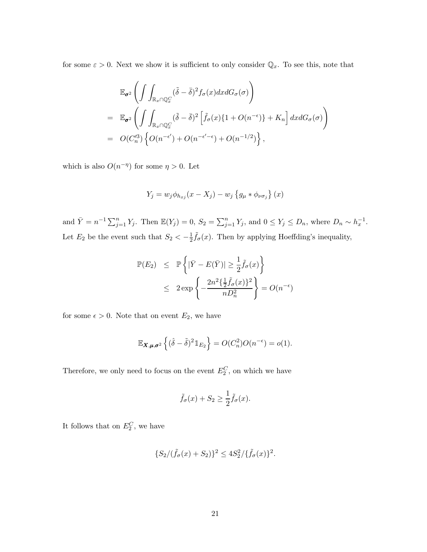for some  $\varepsilon > 0$ . Next we show it is sufficient to only consider  $\mathbb{Q}_x$ . To see this, note that

$$
\mathbb{E}_{\sigma^2} \left( \int \int_{\mathbb{R}_x \cap \mathbb{Q}_x^C} (\tilde{\delta} - \bar{\delta})^2 f_{\sigma}(x) dx dG_{\sigma}(\sigma) \right)
$$
\n
$$
= \mathbb{E}_{\sigma^2} \left( \int \int_{\mathbb{R}_x \cap \mathbb{Q}_x^C} (\tilde{\delta} - \bar{\delta})^2 \left[ \tilde{f}_{\sigma}(x) \{ 1 + O(n^{-\epsilon}) \} + K_n \right] dx dG_{\sigma}(\sigma) \right)
$$
\n
$$
= O(C_n'^3) \left\{ O(n^{-\epsilon'}) + O(n^{-\epsilon'-\epsilon}) + O(n^{-1/2}) \right\},
$$

which is also  $O(n^{-\eta})$  for some  $\eta > 0$ . Let

$$
Y_j = w_j \phi_{h_{xj}}(x - X_j) - w_j \left\{ g_\mu * \phi_{\nu \sigma_j} \right\}(x)
$$

and  $\bar{Y} = n^{-1} \sum_{j=1}^{n} Y_j$ . Then  $\mathbb{E}(Y_j) = 0$ ,  $S_2 = \sum_{j=1}^{n} Y_j$ , and  $0 \le Y_j \le D_n$ , where  $D_n \sim h_x^{-1}$ . Let  $E_2$  be the event such that  $S_2 < -\frac{1}{2}$  $\frac{1}{2}\tilde{f}_{\sigma}(x)$ . Then by applying Hoeffding's inequality,

$$
\mathbb{P}(E_2) \leq \mathbb{P}\left\{ |\bar{Y} - E(\bar{Y})| \geq \frac{1}{2}\tilde{f}_{\sigma}(x) \right\}
$$
  
 
$$
\leq 2 \exp\left\{ -\frac{2n^2 \{\frac{1}{2}\tilde{f}_{\sigma}(x)\}^2}{nD_n^2} \right\} = O(n^{-\epsilon})
$$

for some  $\epsilon > 0$ . Note that on event  $E_2$ , we have

$$
\mathbb{E}_{\mathbf{X},\boldsymbol{\mu},\boldsymbol{\sigma}^2}\left\{(\hat{\delta}-\tilde{\delta})^2\mathbb{1}_{E_2}\right\} = O(C_n^2)O(n^{-\epsilon}) = o(1).
$$

Therefore, we only need to focus on the event  $E_2^C$ , on which we have

$$
\tilde{f}_{\sigma}(x) + S_2 \ge \frac{1}{2} \tilde{f}_{\sigma}(x).
$$

It follows that on  $E_2^C$ , we have

$$
\{S_2/(\tilde{f}_{\sigma}(x) + S_2)\}^2 \le 4S_2^2/\{\tilde{f}_{\sigma}(x)\}^2.
$$